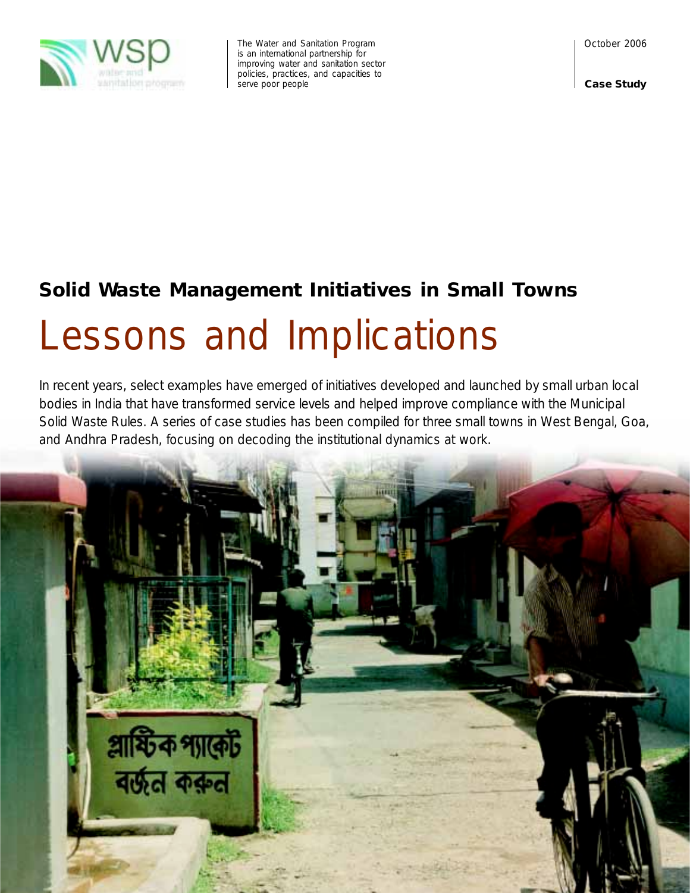

The Water and Sanitation Program is an international partnership for improving water and sanitation sector policies, practices, and capacities to serve poor people

# **Solid Waste Management Initiatives in Small Towns** Lessons and Implications

In recent years, select examples have emerged of initiatives developed and launched by small urban local bodies in India that have transformed service levels and helped improve compliance with the Municipal Solid Waste Rules. A series of case studies has been compiled for three small towns in West Bengal, Goa, and Andhra Pradesh, focusing on decoding the institutional dynamics at work.

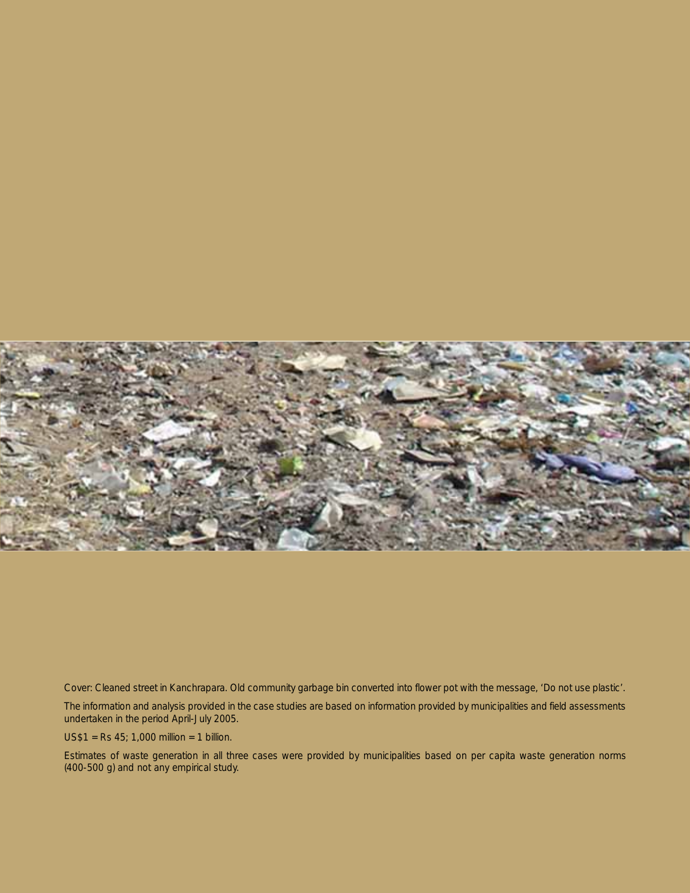

Cover: Cleaned street in Kanchrapara. Old community garbage bin converted into flower pot with the message, 'Do not use plastic'.

The information and analysis provided in the case studies are based on information provided by municipalities and field assessments undertaken in the period April-July 2005.

US\$1 = Rs 45; 1,000 million = 1 billion.

Estimates of waste generation in all three cases were provided by municipalities based on per capita waste generation norms (400-500 g) and not any empirical study.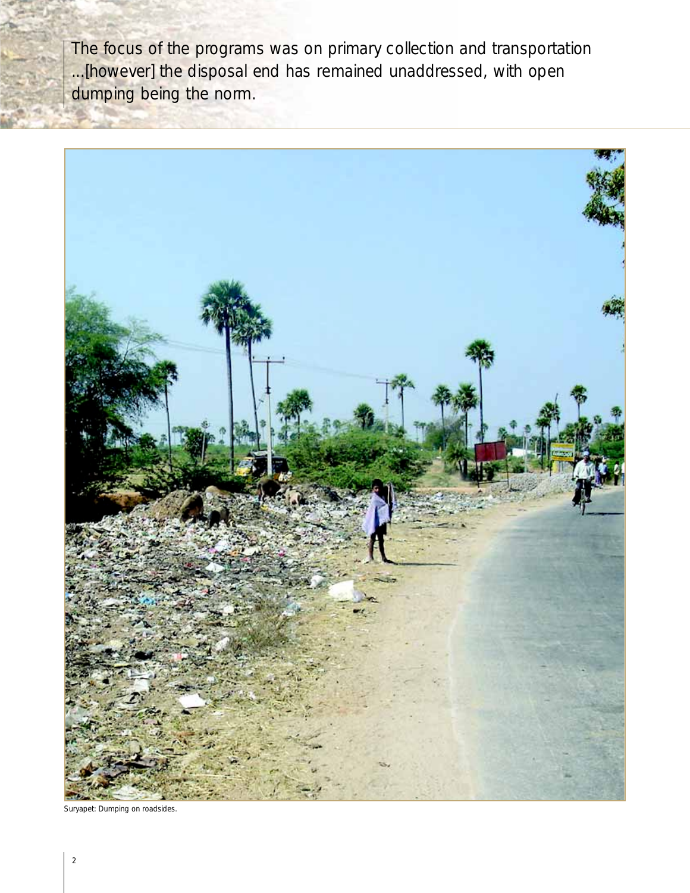The focus of the programs was on primary collection and transportation ...[however] the disposal end has remained unaddressed, with open dumping being the norm.



Suryapet: Dumping on roadsides.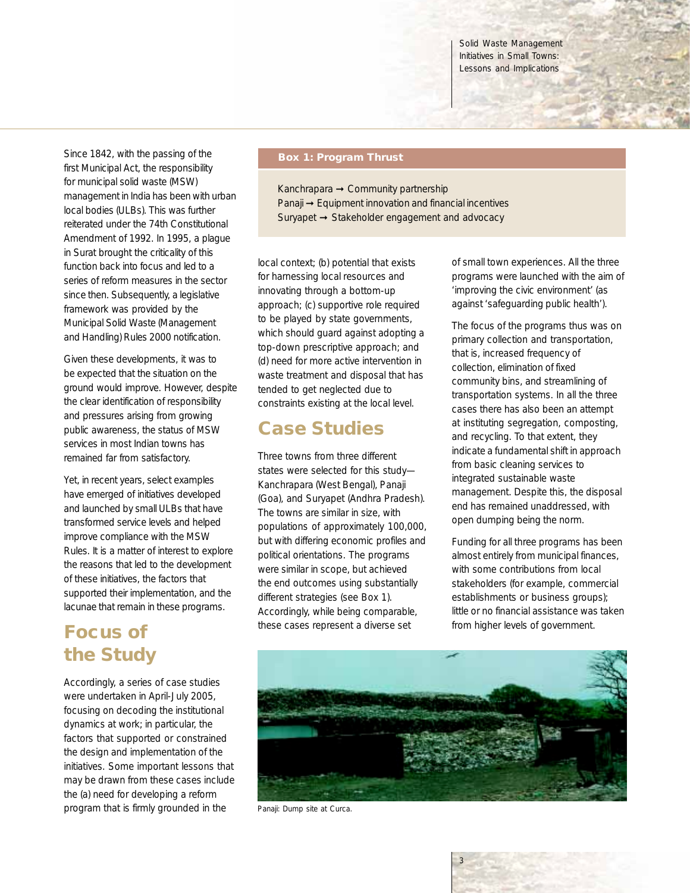Since 1842, with the passing of the first Municipal Act, the responsibility for municipal solid waste (MSW) management in India has been with urban local bodies (ULBs). This was further reiterated under the 74th Constitutional Amendment of 1992. In 1995, a plague in Surat brought the criticality of this function back into focus and led to a series of reform measures in the sector since then. Subsequently, a legislative framework was provided by the Municipal Solid Waste (Management and Handling) Rules 2000 notification.

Given these developments, it was to be expected that the situation on the ground would improve. However, despite the clear identification of responsibility and pressures arising from growing public awareness, the status of MSW services in most Indian towns has remained far from satisfactory.

Yet, in recent years, select examples have emerged of initiatives developed and launched by small ULBs that have transformed service levels and helped improve compliance with the MSW Rules. It is a matter of interest to explore the reasons that led to the development of these initiatives, the factors that supported their implementation, and the lacunae that remain in these programs.

# **Focus of the Study**

Accordingly, a series of case studies were undertaken in April-July 2005, focusing on decoding the institutional dynamics at work; in particular, the factors that supported or constrained the design and implementation of the initiatives. Some important lessons that may be drawn from these cases include the (a) need for developing a reform program that is firmly grounded in the

#### **Box 1: Program Thrust**

Kanchrapara ➞ Community partnership Panaji → Equipment innovation and financial incentives Suryapet → Stakeholder engagement and advocacy

local context; (b) potential that exists for harnessing local resources and innovating through a bottom-up approach; (c) supportive role required to be played by state governments, which should guard against adopting a top-down prescriptive approach; and (d) need for more active intervention in waste treatment and disposal that has tended to get neglected due to constraints existing at the local level.

### **Case Studies**

Three towns from three different states were selected for this study— Kanchrapara (West Bengal), Panaji (Goa), and Suryapet (Andhra Pradesh). The towns are similar in size, with populations of approximately 100,000, but with differing economic profiles and political orientations. The programs were similar in scope, but achieved the end outcomes using substantially different strategies (see Box 1). Accordingly, while being comparable, these cases represent a diverse set

of small town experiences. All the three programs were launched with the aim of 'improving the civic environment' (as against 'safeguarding public health').

The focus of the programs thus was on primary collection and transportation, that is, increased frequency of collection, elimination of fixed community bins, and streamlining of transportation systems. In all the three cases there has also been an *attempt* at instituting segregation, composting, and recycling. To that extent, they indicate a fundamental shift in approach from basic cleaning services to integrated sustainable waste management. Despite this, the disposal end has remained unaddressed, with open dumping being the norm.

Funding for all three programs has been almost entirely from municipal finances, with some contributions from local stakeholders (for example, commercial establishments or business groups); little or no financial assistance was taken from higher levels of government.



3

Panaji: Dump site at Curca.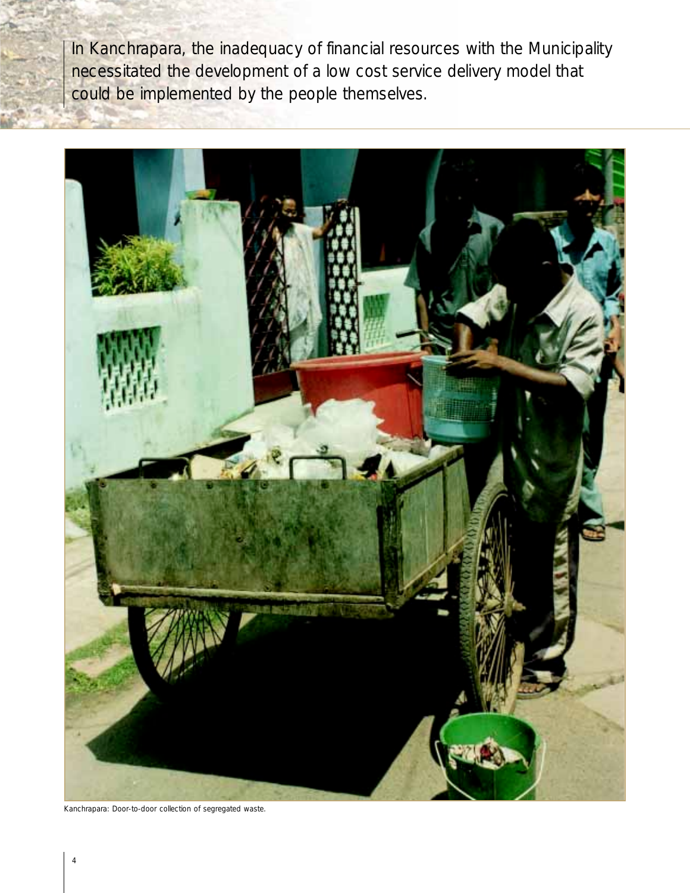In Kanchrapara, the inadequacy of financial resources with the Municipality necessitated the development of a low cost service delivery model that could be implemented by the people themselves.



Kanchrapara: Door-to-door collection of segregated waste.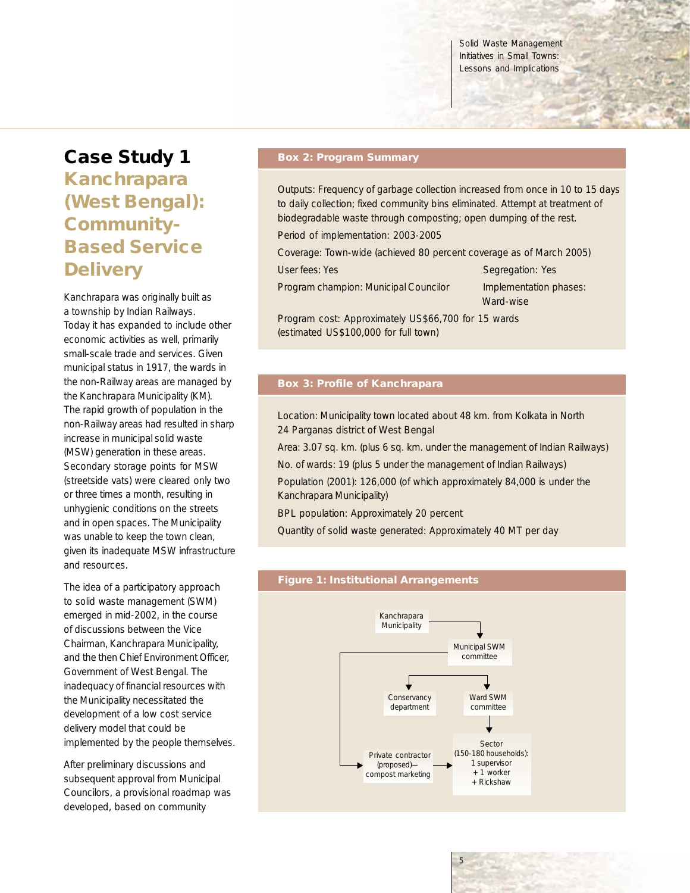## **Case Study 1**

**Kanchrapara (West Bengal): Community-Based Service Delivery**

Kanchrapara was originally built as a township by Indian Railways. Today it has expanded to include other economic activities as well, primarily small-scale trade and services. Given municipal status in 1917, the wards in the non-Railway areas are managed by the Kanchrapara Municipality (KM). The rapid growth of population in the non-Railway areas had resulted in sharp increase in municipal solid waste (MSW) generation in these areas. Secondary storage points for MSW (streetside vats) were cleared only two or three times a month, resulting in unhygienic conditions on the streets and in open spaces. The Municipality was unable to keep the town clean, given its inadequate MSW infrastructure and resources.

The idea of a participatory approach to solid waste management (SWM) emerged in mid-2002, in the course of discussions between the Vice Chairman, Kanchrapara Municipality, and the then Chief Environment Officer, Government of West Bengal. The inadequacy of financial resources with the Municipality necessitated the development of a low cost service delivery model that could be implemented by the people themselves.

After preliminary discussions and subsequent approval from Municipal Councilors, a provisional roadmap was developed, based on community

#### **Box 2: Program Summary**

*Outputs:* Frequency of garbage collection increased from once in 10 to 15 days to daily collection; fixed community bins eliminated. Attempt at treatment of biodegradable waste through composting; open dumping of the rest. *Period of implementation:* 2003-2005

*Coverage:* Town-wide (achieved 80 percent coverage as of March 2005) *User fees:* Yes *Segregation:* Yes

*Program champion:* Municipal Councilor *Implementation phases:*

Ward-wise

*Program cost:* Approximately US\$66,700 for 15 wards (estimated US\$100,000 for full town)

#### **Box 3: Profile of Kanchrapara**

*Location:* Municipality town located about 48 km. from Kolkata in North 24 Parganas district of West Bengal

*Area:* 3.07 sq. km. (plus 6 sq. km. under the management of Indian Railways)

*No. of wards:* 19 (plus 5 under the management of Indian Railways)

*Population (2001):* 126,000 (of which approximately 84,000 is under the Kanchrapara Municipality)

*BPL population:* Approximately 20 percent

*Quantity of solid waste generated:* Approximately 40 MT per day

#### **Figure 1: Institutional Arrangements**



5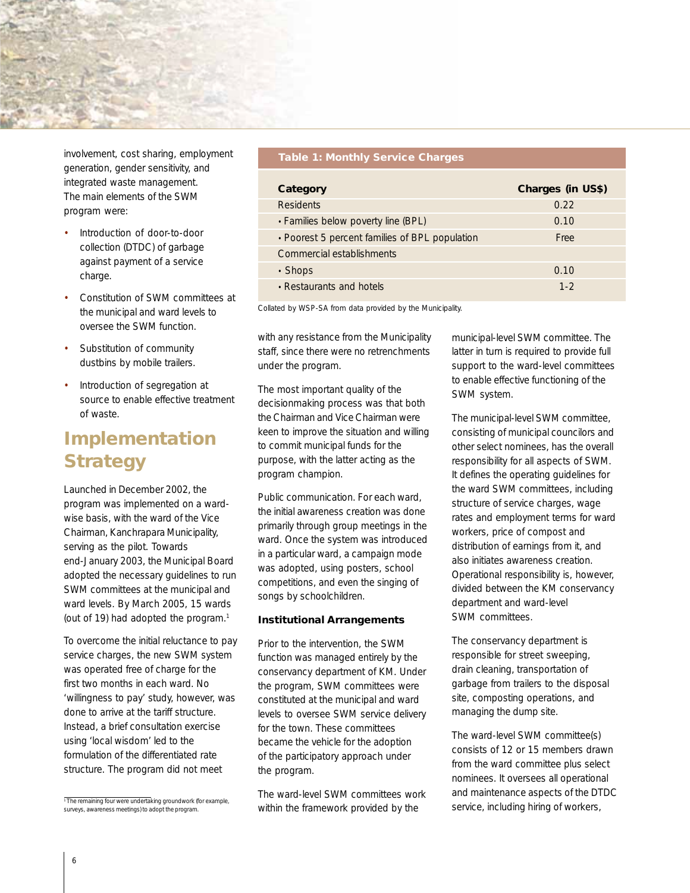involvement, cost sharing, employment generation, gender sensitivity, and integrated waste management. The main elements of the SWM program were:

- Introduction of door-to-door collection (DTDC) of garbage against payment of a service charge.
- Constitution of SWM committees at the municipal and ward levels to oversee the SWM function.
- Substitution of community dustbins by mobile trailers.
- Introduction of segregation at source to enable effective treatment of waste.

# **Implementation Strategy**

Launched in December 2002, the program was implemented on a wardwise basis, with the ward of the Vice Chairman, Kanchrapara Municipality, serving as the pilot. Towards end-January 2003, the Municipal Board adopted the necessary guidelines to run SWM committees at the municipal and ward levels. By March 2005, 15 wards (out of 19) had adopted the program.<sup>1</sup>

To overcome the initial *reluctance to pay service charges*, the new SWM system was operated free of charge for the first two months in each ward. No 'willingness to pay' study, however, was done to arrive at the *tariff structure*. Instead, a brief consultation exercise using 'local wisdom' led to the formulation of the differentiated rate structure. The program did not meet

#### **Table 1: Monthly Service Charges**

| Category                                       | <b>Charges (in US\$)</b> |
|------------------------------------------------|--------------------------|
| <b>Residents</b>                               | 0.22                     |
| • Families below poverty line (BPL)            | 0.10                     |
| • Poorest 5 percent families of BPL population | <b>Free</b>              |
| Commercial establishments                      |                          |
| • Shops                                        | 0.10                     |
| • Restaurants and hotels                       | $1 - 2$                  |

*Collated by WSP-SA from data provided by the Municipality.*

with any *resistance from the Municipality staff,* since there were no retrenchments under the program.

The most important quality of the decisionmaking process was that both the Chairman and Vice Chairman were keen to improve the situation and willing to commit municipal funds for the purpose, with the latter acting as the program champion.

*Public communication.* For each ward, the initial awareness creation was done primarily through group meetings in the ward. Once the system was introduced in a particular ward, a campaign mode was adopted, using posters, school competitions, and even the singing of songs by schoolchildren.

#### **Institutional Arrangements**

Prior to the intervention, the SWM function was managed entirely by the conservancy department of KM. Under the program, SWM committees were constituted at the municipal and ward levels to oversee SWM service delivery for the town. These committees became the vehicle for the adoption of the participatory approach under the program.

The ward-level SWM committees work within the framework provided by the

municipal-level SWM committee. The latter in turn is required to provide full support to the ward-level committees to enable effective functioning of the SWM system.

The *municipal-level SWM committee*, consisting of municipal councilors and other select nominees, has the overall responsibility for all aspects of SWM. It defines the operating guidelines for the ward SWM committees, including structure of service charges, wage rates and employment terms for ward workers, price of compost and distribution of earnings from it, and also initiates awareness creation. Operational responsibility is, however, divided between the KM conservancy department and ward-level SWM committees.

The *conservancy department* is responsible for street sweeping, drain cleaning, transportation of garbage from trailers to the disposal site, composting operations, and managing the dump site.

The *ward-level SWM committee(s)* consists of 12 or 15 members drawn from the ward committee plus select nominees. It oversees all operational and maintenance aspects of the DTDC service, including hiring of workers,

<sup>&</sup>lt;sup>1</sup> The remaining four were undertaking groundwork (for example, surveys, awareness meetings) to adopt the program.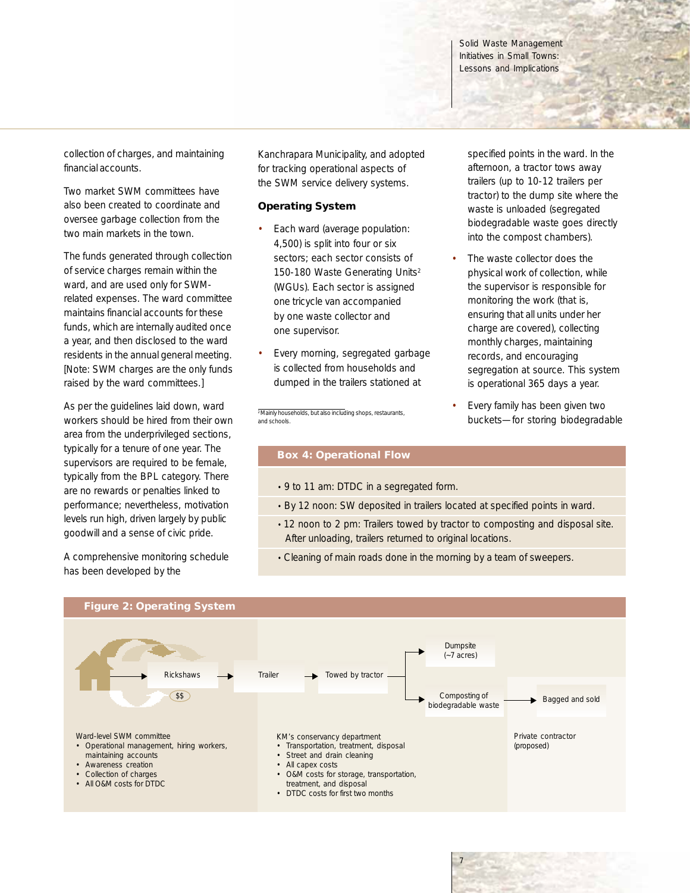collection of charges, and maintaining financial accounts.

Two market SWM committees have also been created to coordinate and oversee garbage collection from the two main markets in the town.

The funds generated through collection of service charges remain within the ward, and are used only for SWMrelated expenses. The ward committee maintains financial accounts for these funds, which are internally audited once a year, and then disclosed to the ward residents in the annual general meeting. [Note: SWM charges are the only funds raised by the ward committees.]

As per the guidelines laid down, ward workers should be hired from their own area from the underprivileged sections, typically for a tenure of one year. The supervisors are required to be female, typically from the BPL category. There are no rewards or penalties linked to performance; nevertheless, motivation levels run high, driven largely by public goodwill and a sense of civic pride.

A comprehensive monitoring schedule has been developed by the

Kanchrapara Municipality, and adopted for tracking operational aspects of the SWM service delivery systems.

#### **Operating System**

- Each ward (average population: 4,500) is split into four or six sectors; each sector consists of 150-180 Waste Generating Units<sup>2</sup> (WGUs). Each sector is assigned one tricycle van accompanied by one waste collector and one supervisor.
- Every morning, segregated garbage is collected from households and dumped in the trailers stationed at

<sup>2</sup> Mainly households, but also including shops, restaurants, and schools.

specified points in the ward. In the afternoon, a tractor tows away trailers (up to 10-12 trailers per tractor) to the dump site where the waste is unloaded (segregated biodegradable waste goes directly into the compost chambers).

- The waste collector does the physical work of collection, while the supervisor is responsible for monitoring the work (that is, ensuring that all units under her charge are covered), collecting monthly charges, maintaining records, and encouraging segregation at source. This system is operational 365 days a year.
- Every family has been given two buckets—for storing biodegradable

#### **Box 4: Operational Flow**

- 9 to 11 am: DTDC in a segregated form.
- By 12 noon: SW deposited in trailers located at specified points in ward.
- 12 noon to 2 pm: Trailers towed by tractor to composting and disposal site. After unloading, trailers returned to original locations.

7

• Cleaning of main roads done in the morning by a team of sweepers.

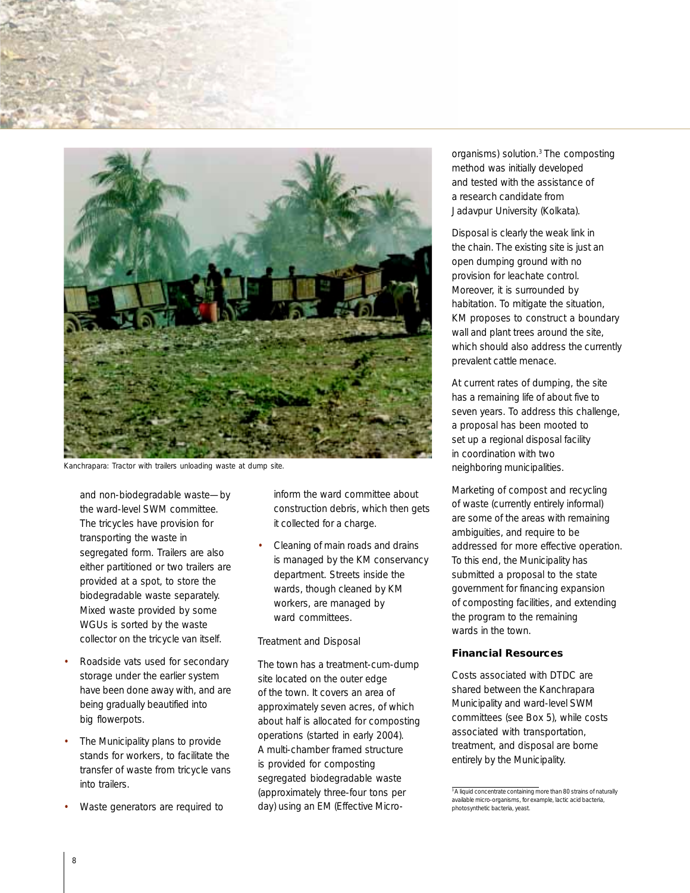

Kanchrapara: Tractor with trailers unloading waste at dump site.

and non-biodegradable waste—by the ward-level SWM committee. The tricycles have provision for transporting the waste in segregated form. Trailers are also either partitioned or two trailers are provided at a spot, to store the biodegradable waste separately. Mixed waste provided by some WGUs is sorted by the waste collector on the tricycle van itself.

- Roadside vats used for secondary storage under the earlier system have been done away with, and are being gradually beautified into big flowerpots.
- The Municipality plans to provide stands for workers, to facilitate the transfer of waste from tricycle vans into trailers.
- Waste generators are required to

inform the ward committee about construction debris, which then gets it collected for a charge.

• Cleaning of main roads and drains is managed by the KM conservancy department. Streets inside the wards, though cleaned by KM workers, are managed by ward committees.

#### *Treatment and Disposal*

The town has a treatment-cum-dump site located on the outer edge of the town. It covers an area of approximately seven acres, of which about half is allocated for composting operations (started in early 2004). A multi-chamber framed structure is provided for composting segregated biodegradable waste (approximately three-four tons per day) using an EM (Effective Microorganisms) solution.3 The composting method was initially developed and tested with the assistance of a research candidate from Jadavpur University (Kolkata).

Disposal is clearly the weak link in the chain. The existing site is just an open dumping ground with no provision for leachate control. Moreover, it is surrounded by habitation. To mitigate the situation, KM proposes to construct a boundary wall and plant trees around the site, which should also address the currently prevalent cattle menace.

At current rates of dumping, the site has a remaining life of about five to seven years. To address this challenge, a proposal has been mooted to set up a regional disposal facility in coordination with two neighboring municipalities.

Marketing of compost and recycling of waste (currently entirely informal) are some of the areas with remaining ambiguities, and require to be addressed for more effective operation. To this end, the Municipality has submitted a proposal to the state government for financing expansion of composting facilities, and extending the program to the remaining wards in the town.

#### **Financial Resources**

Costs associated with DTDC are shared between the Kanchrapara Municipality and ward-level SWM committees (see Box 5), while costs associated with transportation, treatment, and disposal are borne entirely by the Municipality.

<sup>&</sup>lt;sup>3</sup> A liquid concentrate containing more than 80 strains of naturally available micro-organisms, for example, lactic acid bacteria, photosynthetic bacteria, yeast.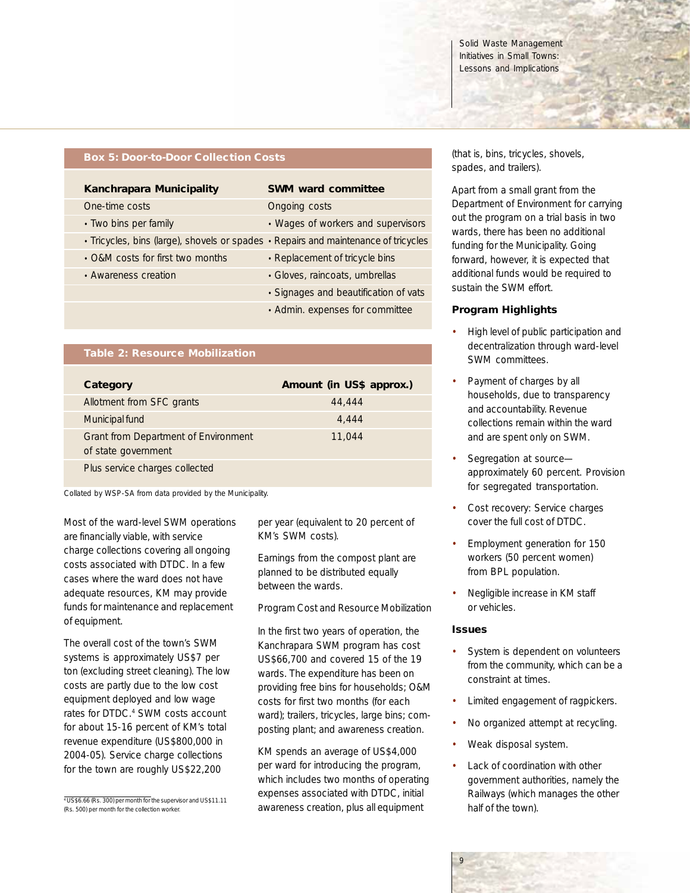#### **Box 5: Door-to-Door Collection Costs**

| <b>Kanchrapara Municipality</b>                                                     | <b>SWM ward committee</b>             |
|-------------------------------------------------------------------------------------|---------------------------------------|
| One-time costs                                                                      | Ongoing costs                         |
| • Two bins per family                                                               | • Wages of workers and supervisors    |
| • Tricycles, bins (large), shovels or spades • Repairs and maintenance of tricycles |                                       |
| • O&M costs for first two months                                                    | • Replacement of tricycle bins        |
| • Awareness creation                                                                | · Gloves, raincoats, umbrellas        |
|                                                                                     | • Signages and beautification of vats |
|                                                                                     | • Admin. expenses for committee       |

| Category                                                    | Amount (in US\$ approx.) |
|-------------------------------------------------------------|--------------------------|
| Allotment from SFC grants                                   | 44,444                   |
| Municipal fund                                              | 4.444                    |
| Grant from Department of Environment<br>of state government | 11.044                   |
| Plus service charges collected                              |                          |

*Collated by WSP-SA from data provided by the Municipality.*

**Table 2: Resource Mobilization**

Most of the ward-level SWM operations are financially viable, with service charge collections covering all ongoing costs associated with DTDC. In a few cases where the ward does not have adequate resources, KM may provide funds for maintenance and replacement of equipment.

The overall cost of the town's SWM systems is approximately US\$7 per ton (excluding street cleaning). The low costs are partly due to the low cost equipment deployed and low wage rates for DTDC.4 SWM costs account for about 15-16 percent of KM's total revenue expenditure (US\$800,000 in 2004-05). Service charge collections for the town are roughly US\$22,200

per year (equivalent to 20 percent of KM's SWM costs).

Earnings from the compost plant are planned to be distributed equally between the wards.

*Program Cost and Resource Mobilization*

In the first two years of operation, the Kanchrapara SWM program has cost US\$66,700 and covered 15 of the 19 wards. The expenditure has been on providing free bins for households; O&M costs for first two months (for each ward); trailers, tricycles, large bins; composting plant; and awareness creation.

KM spends an average of US\$4,000 per ward for introducing the program, which includes two months of operating expenses associated with DTDC, initial abso. 66 (Rs. 300) per month for the supervisor and US\$11.11<br>(Rs. 500) per month for the collection worker.<br>
awareness creation, plus all equipment

(that is, bins, tricycles, shovels, spades, and trailers).

Apart from a small grant from the Department of Environment for carrying out the program on a trial basis in two wards, there has been no additional funding for the Municipality. Going forward, however, it is expected that additional funds would be required to sustain the SWM effort.

#### **Program Highlights**

- High level of public participation and decentralization through ward-level SWM committees.
- Payment of charges by *all* households, due to transparency and accountability. Revenue collections remain *within* the ward and are spent only on SWM.
- Segregation at sourceapproximately 60 percent. Provision for segregated transportation.
- Cost recovery: Service charges cover the full cost of DTDC.
- Employment generation for 150 workers (50 percent women) from BPL population.
- Negligible increase in KM staff or vehicles.

#### **Issues**

- System is dependent on volunteers from the community, which can be a constraint at times.
- Limited engagement of ragpickers.
- No organized attempt at recycling.
- Weak disposal system.
- Lack of coordination with other government authorities, namely the Railways (which manages the other half of the town).



<sup>(</sup>Rs. 500) per month for the collection worker.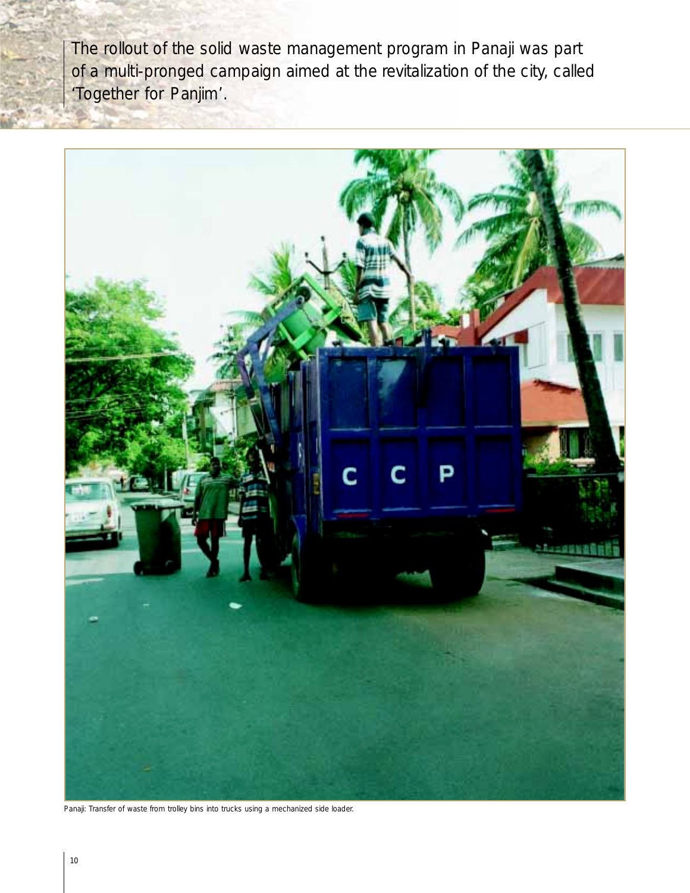The rollout of the solid waste management program in Panaji was part of a multi-pronged campaign aimed at the revitalization of the city, called 'Together for Panjim'.



Panaji: Transfer of waste from trolley bins into trucks using a mechanized side loader.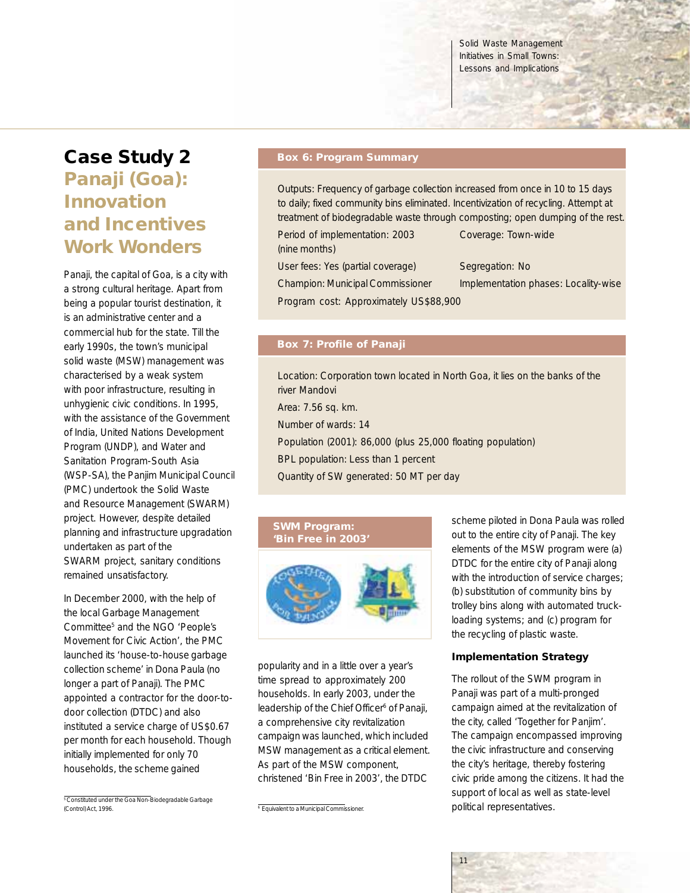# **Case Study 2 Panaji (Goa): Innovation and Incentives Work Wonders**

Panaji, the capital of Goa, is a city with a strong cultural heritage. Apart from being a popular tourist destination, it is an administrative center and a commercial hub for the state. Till the early 1990s, the town's municipal solid waste (MSW) management was characterised by a weak system with poor infrastructure, resulting in unhygienic civic conditions. In 1995, with the assistance of the Government of India, United Nations Development Program (UNDP), and Water and Sanitation Program-South Asia (WSP-SA), the Panjim Municipal Council (PMC) undertook the Solid Waste and Resource Management (SWARM) project. However, despite detailed planning and infrastructure upgradation undertaken as part of the SWARM project, sanitary conditions remained unsatisfactory.

In December 2000, with the help of the local Garbage Management Committee<sup>5</sup> and the NGO 'People's Movement for Civic Action', the PMC launched its 'house-to-house garbage collection scheme' in Dona Paula (no longer a part of Panaji). The PMC appointed a contractor for the door-todoor collection (DTDC) and also instituted a service charge of US\$0.67 per month for each household. Though initially implemented for only 70 households, the scheme gained

<sup>5</sup> Constituted under the Goa Non-Biodegradable Garbage (Control) Act, 1996. **6 Control**) **Act, 1996. 6 Control** Act, 1996.

#### **Box 6: Program Summary**

*Outputs:* Frequency of garbage collection increased from once in 10 to 15 days to daily; fixed community bins eliminated. Incentivization of recycling. Attempt at treatment of biodegradable waste through composting; open dumping of the rest.

*Period of implementation:* 2003 *Coverage:* Town-wide (nine months)

*User fees:* Yes (partial coverage) *Segregation:* No

*Program cost:* Approximately US\$88,900

*Champion:* Municipal Commissioner *Implementation phases:* Locality-wise

#### **Box 7: Profile of Panaji**

*Location:* Corporation town located in North Goa, it lies on the banks of the river Mandovi

*Area:* 7.56 sq. km.

*Number of wards:* 14

*Population (2001):* 86,000 (plus 25,000 floating population)

*BPL population:* Less than 1 percent

*Quantity of SW generated:* 50 MT per day

#### **SWM Program: 'Bin Free in 2003'**



popularity and in a little over a year's time spread to approximately 200 households. In early 2003, under the leadership of the Chief Officer<sup>6</sup> of Panaji, a comprehensive city revitalization campaign was launched, which included MSW management as a critical element. As part of the MSW component, christened 'Bin Free in 2003', the DTDC

scheme piloted in Dona Paula was rolled out to the entire city of Panaji. The key elements of the MSW program were (a) DTDC for the entire city of Panaji along with the introduction of service charges; (b) substitution of community bins by trolley bins along with automated truckloading systems; and (c) program for the recycling of plastic waste.

#### **Implementation Strategy**

The rollout of the SWM program in Panaji was part of a multi-pronged campaign aimed at the revitalization of the city, called 'Together for Panjim'. The campaign encompassed improving the civic infrastructure and conserving the city's heritage, thereby fostering civic pride among the citizens. It had the support of local as well as state-level political representatives.

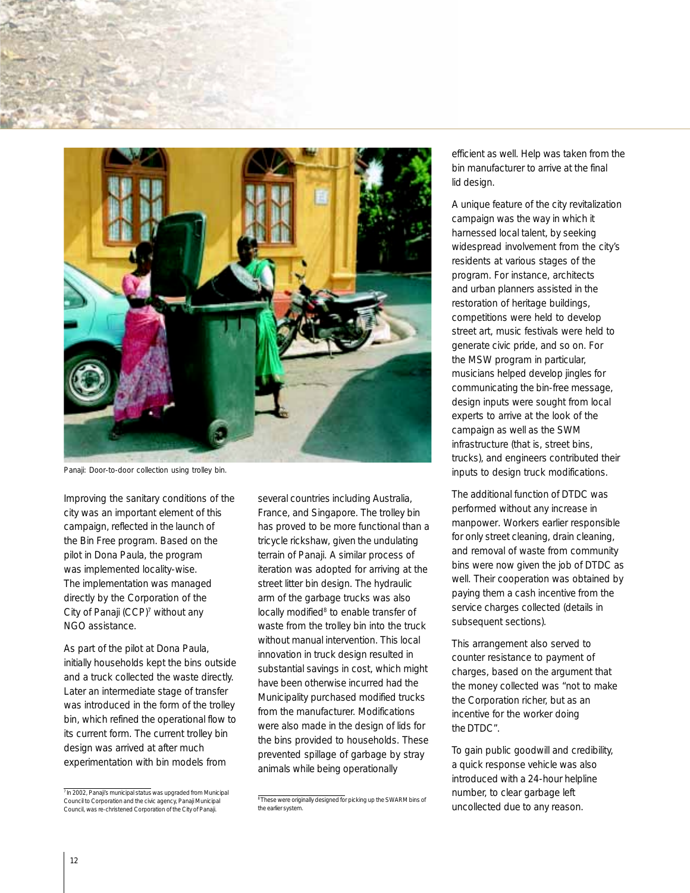

Panaji: Door-to-door collection using trolley bin.

Improving the sanitary conditions of the city was an important element of this campaign, reflected in the launch of the Bin Free program. Based on the pilot in Dona Paula, the program was implemented locality-wise. The implementation was managed directly by the Corporation of the City of Panaji (CCP)<sup>7</sup> without any NGO assistance.

As part of the pilot at Dona Paula, initially households kept the bins outside and a truck collected the waste directly. Later an intermediate stage of transfer was introduced in the form of the trolley bin, which refined the operational flow to its current form. The current trolley bin *design* was arrived at after much experimentation with bin models from

several countries including Australia, France, and Singapore. The trolley bin has proved to be more functional than a tricycle rickshaw, given the undulating terrain of Panaji. A similar process of iteration was adopted for arriving at the street litter bin design. The hydraulic arm of the garbage trucks was also locally modified<sup>8</sup> to enable transfer of waste from the trolley bin into the truck without manual intervention. This *local innovation* in truck design resulted in substantial savings in cost, which might have been otherwise incurred had the Municipality purchased modified trucks from the manufacturer. Modifications were also made in the design of lids for the bins provided to households. These prevented spillage of garbage by stray animals while being operationally

efficient as well. Help was taken from the bin manufacturer to arrive at the final lid design.

A unique feature of the city revitalization campaign was the way in which it harnessed local talent, by seeking widespread involvement from the city's residents at various stages of the program. For instance, architects and urban planners assisted in the restoration of heritage buildings, competitions were held to develop street art, music festivals were held to generate civic pride, and so on. For the MSW program in particular, musicians helped develop jingles for communicating the bin-free message, design inputs were sought from local experts to arrive at the look of the campaign as well as the SWM infrastructure (that is, street bins, trucks), and engineers contributed their inputs to design truck modifications.

The additional function of DTDC was performed without any increase in *manpower*. Workers earlier responsible for only street cleaning, drain cleaning, and removal of waste from community bins were now given the job of DTDC as well. Their cooperation was obtained by paying them a cash incentive from the service charges collected (details in subsequent sections).

This arrangement also served to counter resistance to payment of charges, based on the argument that the money collected was *"not to make the Corporation richer, but as an incentive for the worker doing the DTDC".*

To gain public goodwill and credibility, a quick response vehicle was also introduced with a 24-hour helpline number, to clear garbage left uncollected due to any reason.

<sup>&</sup>lt;sup>7</sup> In 2002, Panaji's municipal status was upgraded from Municipal Council to Corporation and the civic agency, Panaji Municipal Council, was re-christened Corporation of the City of Panaji.

<sup>&</sup>lt;sup>8</sup> These were originally designed for picking up the SWARM bins of the earlier system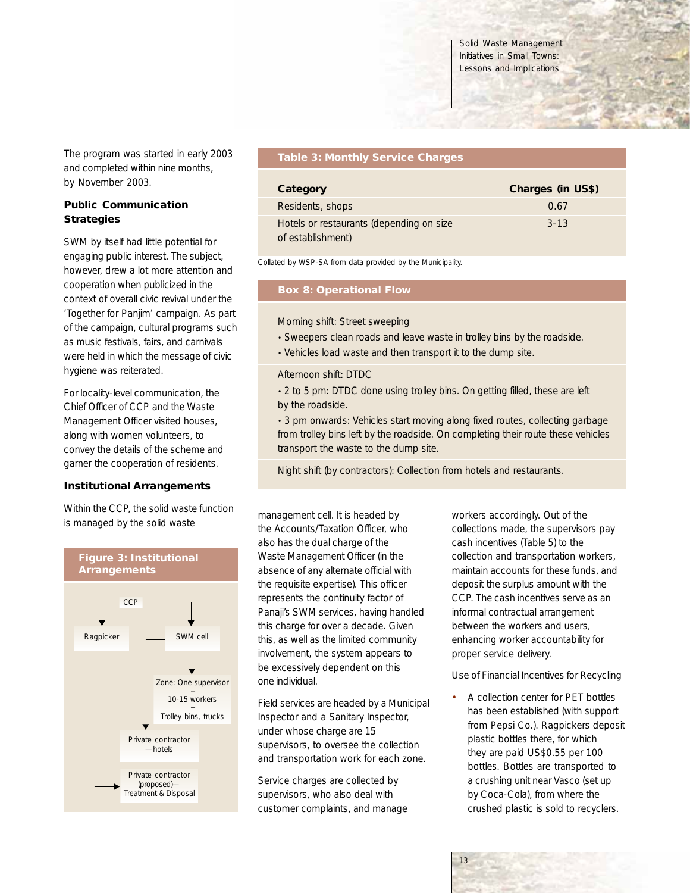The program was started in early 2003 and completed within nine months, by November 2003.

#### **Public Communication Strategies**

SWM by itself had little potential for engaging public interest. The subject, however, drew a lot more attention and cooperation when publicized in the context of overall civic revival under the 'Together for Panjim' campaign. As part of the campaign, cultural programs such as music festivals, fairs, and carnivals were held in which the message of civic hygiene was reiterated.

For locality-level communication, the Chief Officer of CCP and the Waste Management Officer visited houses, along with women volunteers, to convey the details of the scheme and garner the cooperation of residents.

#### **Institutional Arrangements**

Within the CCP, the solid waste function Fortunity the solid waste function<br>is management cell. It is headed by<br>the Assemblance of floor when the Magnetic China of floor when



#### **Table 3: Monthly Service Charges**

| Category                                                      | <b>Charges (in US\$)</b> |
|---------------------------------------------------------------|--------------------------|
| Residents, shops                                              | 0.67                     |
| Hotels or restaurants (depending on size<br>of establishment) | $3 - 13$                 |

*Collated by WSP-SA from data provided by the Municipality.*

#### **Box 8: Operational Flow**

*Morning shift:* Street sweeping

- Sweepers clean roads and leave waste in trolley bins by the roadside.
- Vehicles load waste and then transport it to the dump site.

#### *Afternoon shift:* DTDC

• 2 to 5 pm: DTDC done using trolley bins. On getting filled, these are left by the roadside.

• 3 pm onwards: Vehicles start moving along fixed routes, collecting garbage from trolley bins left by the roadside. On completing their route these vehicles transport the waste to the dump site.

*Night shift* (by contractors): Collection from hotels and restaurants.

the Accounts/Taxation Officer, who also has the dual charge of the Waste Management Officer (in the absence of any alternate official with the requisite expertise). This officer represents the continuity factor of Panaji's SWM services, having handled this charge for over a decade. Given this, as well as the limited community involvement, the system appears to be excessively dependent on this one individual.

Field services are headed by a Municipal Inspector and a Sanitary Inspector, under whose charge are 15 supervisors, to oversee the collection and transportation work for each zone.

*Service charges* are collected by supervisors, who also deal with customer complaints, and manage workers accordingly. Out of the collections made, the supervisors pay cash incentives (Table 5) to the collection and transportation workers, maintain accounts for these funds, and deposit the surplus amount with the CCP. The cash incentives serve as an informal contractual arrangement between the workers and users, enhancing worker accountability for proper service delivery.

#### *Use of Financial Incentives for Recycling*

• A collection center for PET bottles has been established (with support from Pepsi Co.). Ragpickers deposit plastic bottles there, for which they are paid US\$0.55 per 100 bottles. Bottles are transported to a crushing unit near Vasco (set up by Coca-Cola), from where the crushed plastic is sold to recyclers.

13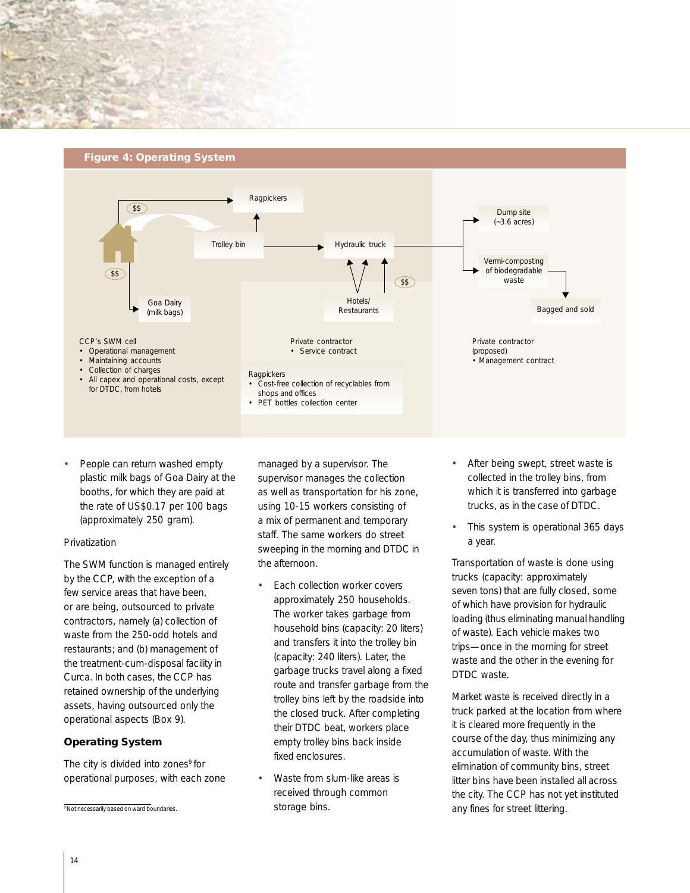#### **Figure 4: Operating System**



People can return washed empty *plastic milk bags* of Goa Dairy at the booths, for which they are paid at the rate of US\$0.17 per 100 bags (approximately 250 gram).

#### *Privatization*

The SWM function is managed entirely by the CCP, with the exception of a few service areas that have been, or are being, outsourced to private contractors, namely (a) collection of waste from the 250-odd hotels and restaurants; and (b) management of the treatment-cum-disposal facility in Curca. In both cases, the CCP has retained ownership of the underlying assets, having outsourced only the operational aspects (Box 9).

#### **Operating System**

The city is divided into zones<sup>9</sup> for operational purposes, with each zone managed by a supervisor. The supervisor manages the collection as well as transportation for his zone, using 10-15 workers consisting of a mix of permanent and temporary staff. The same workers do street sweeping in the morning and DTDC in the afternoon.

- Each collection worker covers approximately 250 households. The worker takes garbage from household bins (capacity: 20 liters) and transfers it into the trolley bin (capacity: 240 liters). Later, the garbage trucks travel along a fixed route and transfer garbage from the trolley bins left by the roadside into the closed truck. After completing their DTDC beat, workers place empty trolley bins back inside fixed enclosures.
- Waste from *slum-like areas* is received through common storage bins. **and the street example and street littering.** 9 Notice is to reach the street littering.
- After being swept, street waste is collected in the trolley bins, from which it is transferred into garbage trucks, as in the case of DTDC.
- This system is operational 365 days a year.

*Transportation of waste* is done using trucks (capacity: approximately seven tons) that are fully closed, some of which have provision for hydraulic loading (thus eliminating manual handling of waste). Each vehicle makes two trips—once in the morning for street waste and the other in the evening for DTDC waste.

*Market waste* is received directly in a truck parked at the location from where it is cleared more frequently in the course of the day, thus minimizing any accumulation of waste. With the elimination of community bins, *street litter bins* have been installed all across the city. The CCP has not yet instituted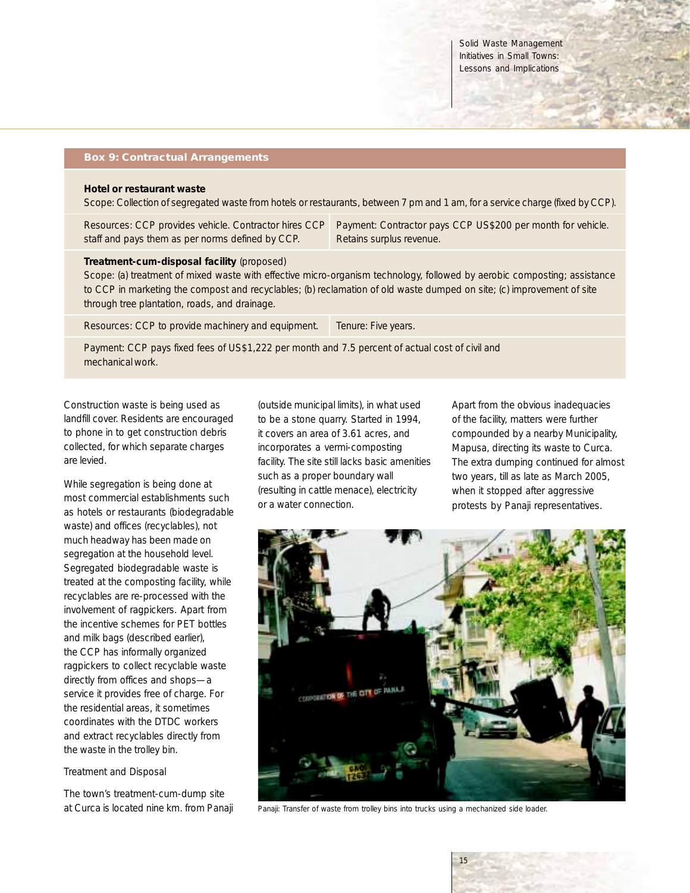#### **Box 9: Contractual Arrangements**

#### **Hotel or restaurant waste**

*Scope:* Collection of segregated waste from hotels or restaurants, between 7 pm and 1 am, for a service charge (fixed by CCP).

staff and pays them as per norms defined by CCP. Retains surplus revenue.

*Resources:* CCP provides vehicle. Contractor hires CCP *Payment:* Contractor pays CCP US\$200 per month for vehicle.

#### **Treatment-cum-disposal facility** (proposed)

*Scope:* (a) treatment of mixed waste with effective micro-organism technology, followed by aerobic composting; assistance to CCP in marketing the compost and recyclables; (b) reclamation of old waste dumped on site; (c) improvement of site through tree plantation, roads, and drainage.

*Resources:* CCP to provide machinery and equipment. *Tenure:* Five years.

*Payment:* CCP pays fixed fees of US\$1,222 per month and 7.5 percent of actual cost of civil and mechanical work.

*Construction waste* is being used as landfill cover. Residents are encouraged to phone in to get construction debris collected, for which separate charges are levied.

While *segregation* is being done at most commercial establishments such as hotels or restaurants (biodegradable waste) and offices (recyclables), not much headway has been made on segregation at the household level. Segregated biodegradable waste is treated at the composting facility, while recyclables are re-processed with the involvement of *ragpickers*. Apart from the incentive schemes for PET bottles and milk bags (described earlier), the CCP has informally organized ragpickers to collect recyclable waste directly from offices and shops—a service it provides free of charge. For the residential areas, it sometimes coordinates with the DTDC workers and extract recyclables directly from the waste in the trolley bin.

#### *Treatment and Disposal*

The town's treatment-cum-dump site at Curca is located nine km. from Panaji (outside municipal limits), in what used to be a stone quarry. Started in 1994, it covers an area of 3.61 acres, and incorporates a vermi-composting facility. The site still lacks basic amenities such as a proper boundary wall (resulting in cattle menace), electricity or a water connection.

Apart from the obvious inadequacies of the facility, matters were further compounded by a nearby Municipality, Mapusa, directing its waste to Curca. The extra dumping continued for almost two years, till as late as March 2005, when it stopped after aggressive protests by Panaji representatives.



15

Panaji: Transfer of waste from trolley bins into trucks using a mechanized side loader.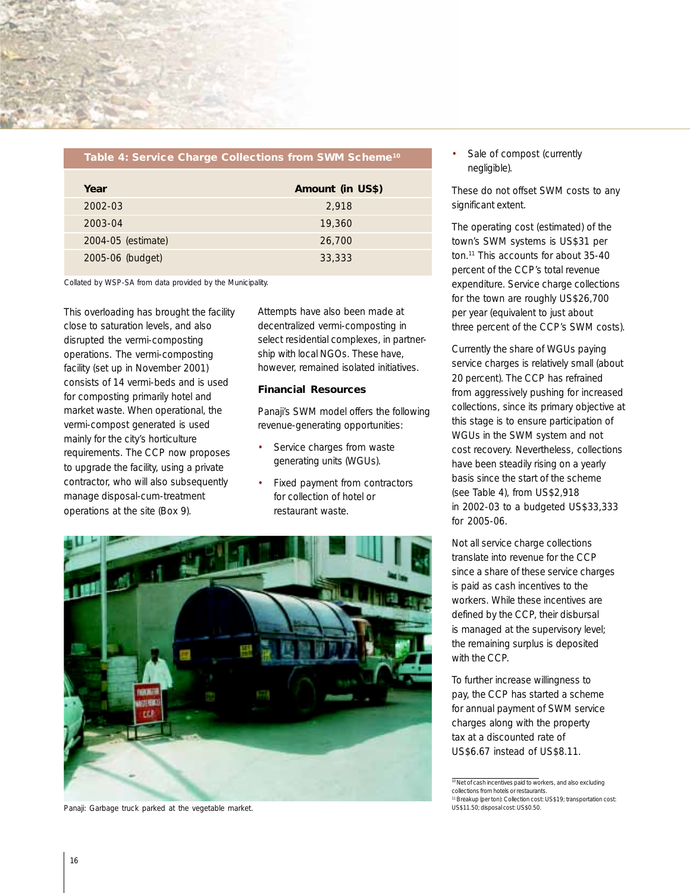#### **Table 4: Service Charge Collections from SWM Scheme10**

| Year               | <b>Amount (in US\$)</b> |
|--------------------|-------------------------|
| $2002 - 03$        | 2.918                   |
| 2003-04            | 19,360                  |
| 2004-05 (estimate) | 26,700                  |
| 2005-06 (budget)   | 33,333                  |

*Collated by WSP-SA from data provided by the Municipality.*

This overloading has brought the facility close to saturation levels, and also disrupted the vermi-composting operations. The vermi-composting facility (set up in November 2001) consists of 14 vermi-beds and is used for composting primarily hotel and market waste. When operational, the vermi-compost generated is used mainly for the city's horticulture requirements. The CCP now proposes to upgrade the facility, using a private contractor, who will also subsequently manage disposal-cum-treatment operations at the site (Box 9).

Attempts have also been made at decentralized vermi-composting in select residential complexes, in partnership with local NGOs. These have, however, remained isolated initiatives.

#### **Financial Resources**

Panaji's SWM model offers the following revenue-generating opportunities:

- Service charges from waste generating units (WGUs).
- Fixed payment from contractors for collection of hotel or restaurant waste.



Panaji: Garbage truck parked at the vegetable market. 
US\$11.50; disposal cost: US\$0.50.

• Sale of compost (currently negligible).

These do not offset SWM costs to any significant extent.

The operating cost (estimated) of the town's SWM systems is US\$31 per ton.<sup>11</sup> This accounts for about 35-40 percent of the CCP's total revenue expenditure. Service charge collections for the town are roughly US\$26,700 per year (equivalent to just about three percent of the CCP's SWM costs).

Currently the share of WGUs paying service charges is relatively small (about 20 percent). The CCP has refrained from aggressively pushing for increased collections, since its primary objective at this stage is to ensure participation of WGUs in the SWM system and not cost recovery. Nevertheless, collections have been steadily rising on a yearly basis since the start of the scheme (see Table 4), from US\$2,918 in 2002-03 to a budgeted US\$33,333 for 2005-06.

Not all service charge collections translate into revenue for the CCP since a share of these service charges is paid as cash incentives to the workers. While these incentives are defined by the CCP, their disbursal is managed at the supervisory level; the remaining surplus is deposited with the CCP.

To further increase willingness to pay, the CCP has started a scheme for annual payment of SWM service charges along with the property tax at a discounted rate of US\$6.67 instead of US\$8.11.

<sup>&</sup>lt;sup>10</sup> Net of cash incentives paid to workers, and also excluding collections from hotels or restaurants. 11 Breakup (per ton): Collection cost: US\$19; transportation cost: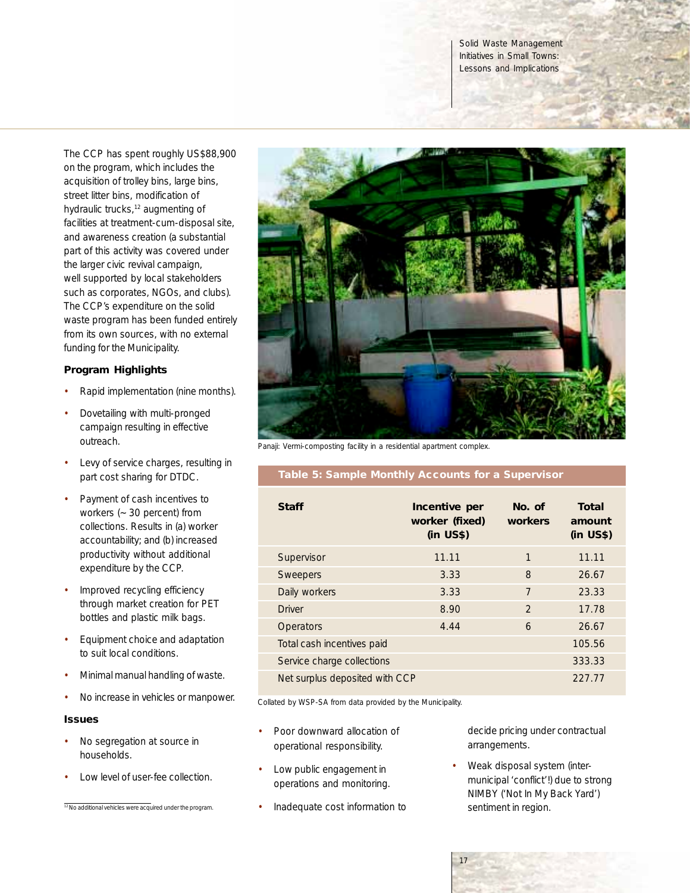The CCP has spent roughly US\$88,900 on the program, which includes the acquisition of trolley bins, large bins, street litter bins, modification of hydraulic trucks,<sup>12</sup> augmenting of facilities at treatment-cum-disposal site, and awareness creation (a substantial part of this activity was covered under the larger civic revival campaign, well supported by local stakeholders such as corporates, NGOs, and clubs). The CCP's expenditure on the solid waste program has been funded entirely from its own sources, with no external funding for the Municipality.

#### **Program Highlights**

- Rapid implementation (nine months).
- Dovetailing with multi-pronged campaign resulting in effective outreach.
- Levy of service charges, resulting in part cost sharing for DTDC.
- Payment of cash incentives to workers (~ 30 percent) from collections. Results in (a) worker accountability; and (b) increased productivity without additional expenditure by the CCP.
- Improved recycling efficiency through market creation for PET bottles and plastic milk bags.
- Equipment choice and adaptation to suit local conditions.
- Minimal manual handling of waste.
- No increase in vehicles or manpower.

#### **Issues**

- No segregation at source in households.
- Low level of user-fee collection.



Panaji: Vermi-composting facility in a residential apartment complex.

#### **Table 5: Sample Monthly Accounts for a Supervisor**

| <b>Staff</b>                   | Incentive per<br>worker (fixed)<br>$(in$ US\$) | No. of<br>workers | <b>Total</b><br>amount<br>$(in$ US\$) |
|--------------------------------|------------------------------------------------|-------------------|---------------------------------------|
| Supervisor                     | 11.11                                          | 1                 | 11.11                                 |
| Sweepers                       | 3.33                                           | 8                 | 26.67                                 |
| Daily workers                  | 3.33                                           | $\overline{7}$    | 23.33                                 |
| Driver                         | 8.90                                           | $\mathcal{D}$     | 17.78                                 |
| <b>Operators</b>               | 4.44                                           | 6                 | 26.67                                 |
| Total cash incentives paid     |                                                |                   | 105.56                                |
| Service charge collections     |                                                |                   | 333.33                                |
| Net surplus deposited with CCP |                                                |                   | 227.77                                |

*Collated by WSP-SA from data provided by the Municipality.*

- Poor downward allocation of operational responsibility.
- Low public engagement in operations and monitoring.
- Inadequate cost information to

decide pricing under contractual arrangements.

• Weak disposal system (intermunicipal 'conflict'!) due to strong NIMBY ('Not In My Back Yard') sentiment in region.



<sup>&</sup>lt;sup>12</sup> No additional vehicles were acquired under the program.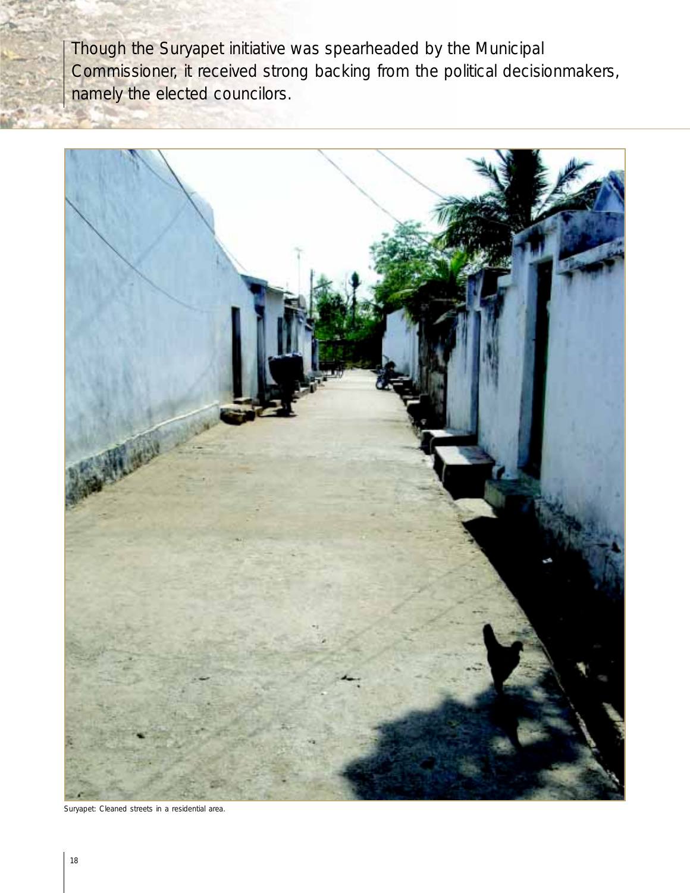Though the Suryapet initiative was spearheaded by the Municipal Commissioner, it received strong backing from the political decisionmakers, namely the elected councilors.



Suryapet: Cleaned streets in a residential area.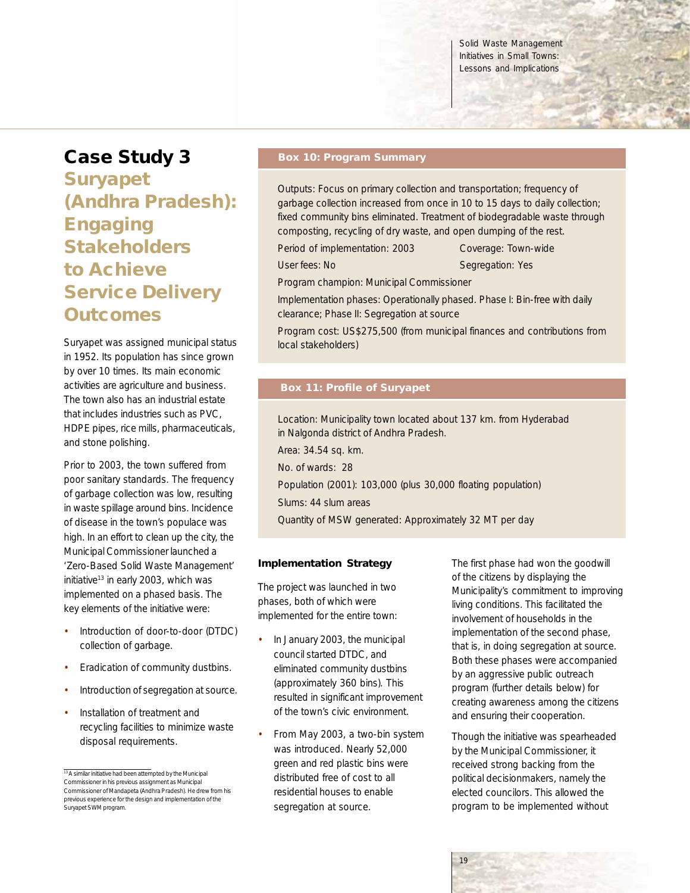## **Case Study 3**

**Suryapet (Andhra Pradesh): Engaging Stakeholders to Achieve Service Delivery Outcomes**

Suryapet was assigned municipal status in 1952. Its population has since grown by over 10 times. Its main economic activities are agriculture and business. The town also has an industrial estate that includes industries such as PVC, HDPE pipes, rice mills, pharmaceuticals, and stone polishing.

Prior to 2003, the town suffered from poor sanitary standards. The frequency of garbage collection was low, resulting in waste spillage around bins. Incidence of disease in the town's populace was high. In an effort to clean up the city, the Municipal Commissioner launched a 'Zero-Based Solid Waste Management' initiative<sup>13</sup> in early 2003, which was implemented on a phased basis. The key elements of the initiative were:

- Introduction of door-to-door (DTDC) collection of garbage.
- Eradication of community dustbins.
- Introduction of segregation at source.
- Installation of treatment and recycling facilities to minimize waste disposal requirements.

#### **Box 10: Program Summary**

*Outputs:* Focus on primary collection and transportation; frequency of garbage collection increased from once in 10 to 15 days to daily collection; fixed community bins eliminated. Treatment of biodegradable waste through composting, recycling of dry waste, and open dumping of the rest.

*Period of implementation:* 2003 *Coverage:* Town-wide

*User fees:* No *Segregation:* Yes

*Program champion:* Municipal Commissioner

*Implementation phases:* Operationally phased. Phase I: Bin-free with daily clearance; Phase II: Segregation at source

*Program cost:* US\$275,500 (from municipal finances and contributions from local stakeholders)

#### **Box 11: Profile of Suryapet**

*Location:* Municipality town located about 137 km. from Hyderabad in Nalgonda district of Andhra Pradesh. *Area:* 34.54 sq. km. *No. of wards:* 28 *Population (2001)*: 103,000 (plus 30,000 floating population) *Slums:* 44 slum areas *Quantity of MSW generated*: Approximately 32 MT per day

#### **Implementation Strategy**

The project was launched in two phases, both of which were implemented for the entire town:

- In January 2003, the municipal council started DTDC, and eliminated community dustbins (approximately 360 bins). This resulted in significant improvement of the town's civic environment.
- From May 2003, a two-bin system was introduced. Nearly 52,000 green and red plastic bins were distributed free of cost to all residential houses to enable segregation at source.

The first phase had won the goodwill of the citizens by displaying the Municipality's commitment to improving living conditions. This facilitated the involvement of households in the implementation of the second phase, that is, in doing segregation at source. Both these phases were accompanied by an aggressive public outreach program (further details below) for creating awareness among the citizens and ensuring their cooperation.

Though the initiative was spearheaded by the Municipal Commissioner, it received strong backing from the political decisionmakers, namely the elected councilors. This allowed the program to be implemented without

19

<sup>&</sup>lt;sup>13</sup> A similar initiative had been attempted by the Municipal Commissioner in his previous assignment as Municipal Commissioner of Mandapeta (Andhra Pradesh). He drew from his previous experience for the design and implementation of the Suryapet SWM program.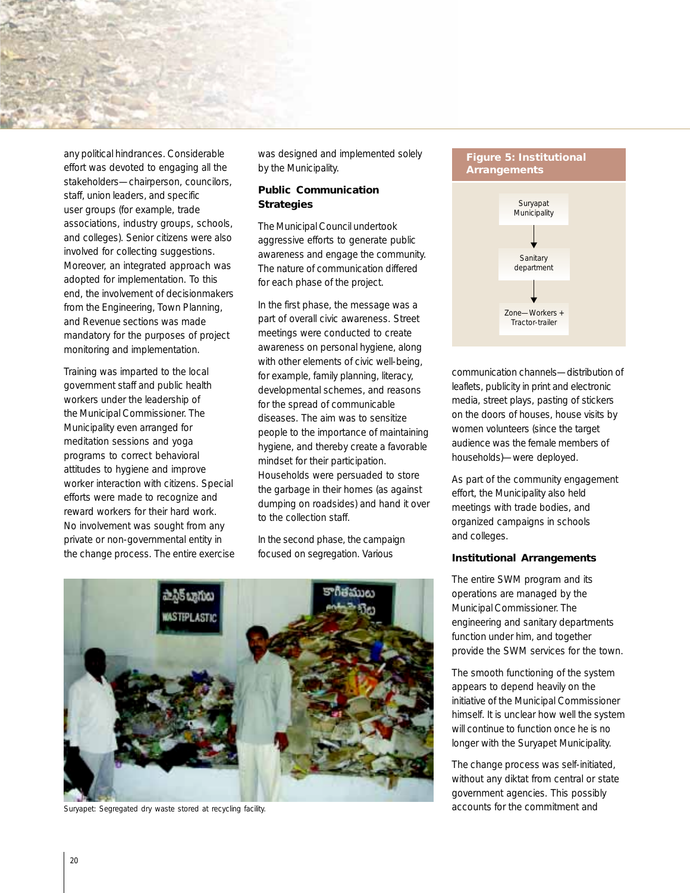any political hindrances. Considerable effort was devoted to engaging all the stakeholders—chairperson, councilors, staff, union leaders, and specific user groups (for example, trade associations, industry groups, schools, and colleges). Senior citizens were also involved for collecting suggestions. Moreover, an integrated approach was adopted for implementation. To this end, the involvement of decisionmakers from the Engineering, Town Planning, and Revenue sections was made mandatory for the purposes of project monitoring and implementation.

Training was imparted to the local government staff and public health workers under the leadership of the Municipal Commissioner. The Municipality even arranged for meditation sessions and yoga programs to correct behavioral attitudes to hygiene and improve worker interaction with citizens. Special efforts were made to recognize and reward workers for their hard work. No involvement was sought from any private or non-governmental entity in the change process. The entire exercise was designed and implemented solely by the Municipality.

#### **Public Communication Strategies**

The Municipal Council undertook aggressive efforts to generate public awareness and engage the community. The nature of communication differed for each phase of the project.

In the first phase, the message was a part of overall civic awareness. Street meetings were conducted to create awareness on personal hygiene, along with other elements of civic well-being, for example, family planning, literacy, developmental schemes, and reasons for the spread of communicable diseases. The aim was to sensitize people to the importance of maintaining hygiene, and thereby create a favorable mindset for their participation. Households were persuaded to store the garbage in their homes (as against dumping on roadsides) and hand it over to the collection staff.

In the second phase, the campaign focused on segregation. Various



Suryapet: Segregated dry waste stored at recycling facility.

#### **Figure 5: Institutional Arrangements**



communication channels—distribution of leaflets, publicity in print and electronic media, street plays, pasting of stickers on the doors of houses, house visits by women volunteers (since the target audience was the female members of households)—were deployed.

As part of the community engagement effort, the Municipality also held meetings with trade bodies, and organized campaigns in schools and colleges.

#### **Institutional Arrangements**

The entire SWM program and its operations are managed by the Municipal Commissioner. The engineering and sanitary departments function under him, and together provide the SWM services for the town.

The smooth functioning of the system appears to depend heavily on the initiative of the Municipal Commissioner himself. It is unclear how well the system will continue to function once he is no longer with the Suryapet Municipality.

The change process was self-initiated, without any diktat from central or state government agencies. This possibly accounts for the commitment and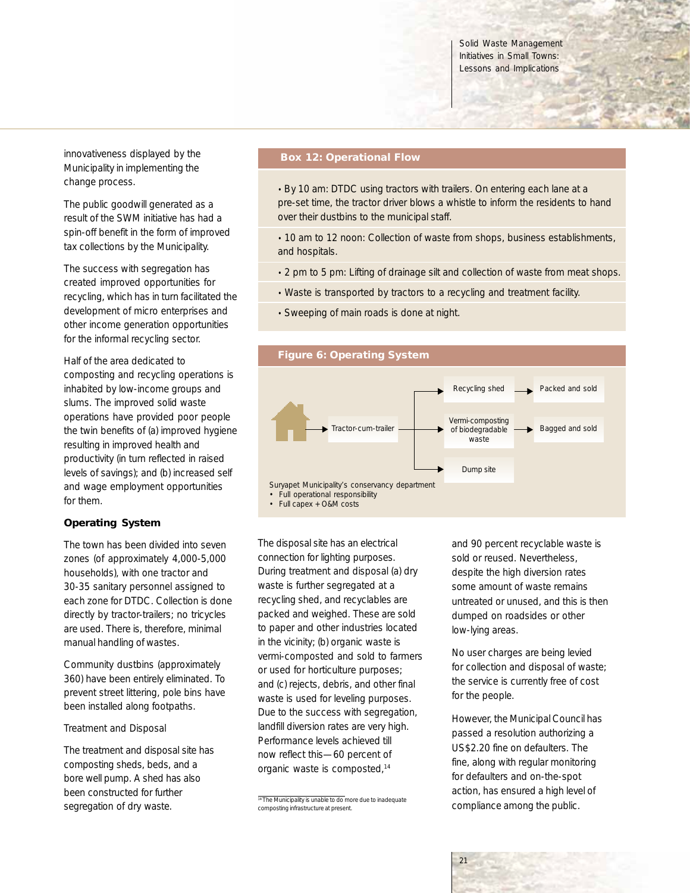innovativeness displayed by the Municipality in implementing the change process.

*The public goodwill generated as a result of the SWM initiative has had a spin-off benefit in the form of improved tax collections by the Municipality.*

The success with segregation has created improved opportunities for recycling, which has in turn facilitated the development of micro enterprises and other income generation opportunities for the informal recycling sector.

Half of the area dedicated to composting and recycling operations is inhabited by low-income groups and slums. The improved solid waste operations have provided poor people the twin benefits of (a) improved hygiene resulting in improved health and productivity (in turn reflected in raised levels of savings); and (b) increased self and wage employment opportunities for them.

#### **Operating System**

The town has been divided into seven zones (of approximately 4,000-5,000 households), with one tractor and 30-35 sanitary personnel assigned to each zone for DTDC. Collection is done directly by tractor-trailers; no tricycles are used. There is, therefore, minimal manual handling of wastes.

Community dustbins (approximately 360) have been entirely eliminated. To prevent street littering, pole bins have been installed along footpaths.

#### *Treatment and Disposal*

The treatment and disposal site has composting sheds, beds, and a bore well pump. A shed has also been constructed for further segregation of dry waste.

#### **Box 12: Operational Flow**

• By 10 am: DTDC using tractors with trailers. On entering each lane at a pre-set time, the tractor driver blows a whistle to inform the residents to hand over their dustbins to the municipal staff.

- 10 am to 12 noon: Collection of waste from shops, business establishments, and hospitals.
- 2 pm to 5 pm: Lifting of drainage silt and collection of waste from meat shops.
- Waste is transported by tractors to a recycling and treatment facility.
- Sweeping of main roads is done at night.



The disposal site has an electrical connection for lighting purposes. During treatment and disposal (a) dry waste is further segregated at a recycling shed, and recyclables are packed and weighed. These are sold to paper and other industries located in the vicinity; (b) organic waste is vermi-composted and sold to farmers or used for horticulture purposes; and (c) rejects, debris, and other final waste is used for leveling purposes. Due to the success with segregation, landfill diversion rates are very high. Performance levels achieved till now reflect this—60 percent of organic waste is composted,<sup>14</sup>

and 90 percent recyclable waste is sold or reused. Nevertheless, despite the high diversion rates some amount of waste remains untreated or unused, and this is then dumped on roadsides or other low-lying areas.

No user charges are being levied for collection and disposal of waste; the service is currently free of cost for the people.

However, the Municipal Council has passed a resolution authorizing a US\$2.20 fine on defaulters. The fine, along with regular monitoring for defaulters and on-the-spot action, has ensured a high level of The Municipality is unable to do more due to inadequate<br>
compositing infrastructure at present. COMPliance among the public.



composting infrastructure at present.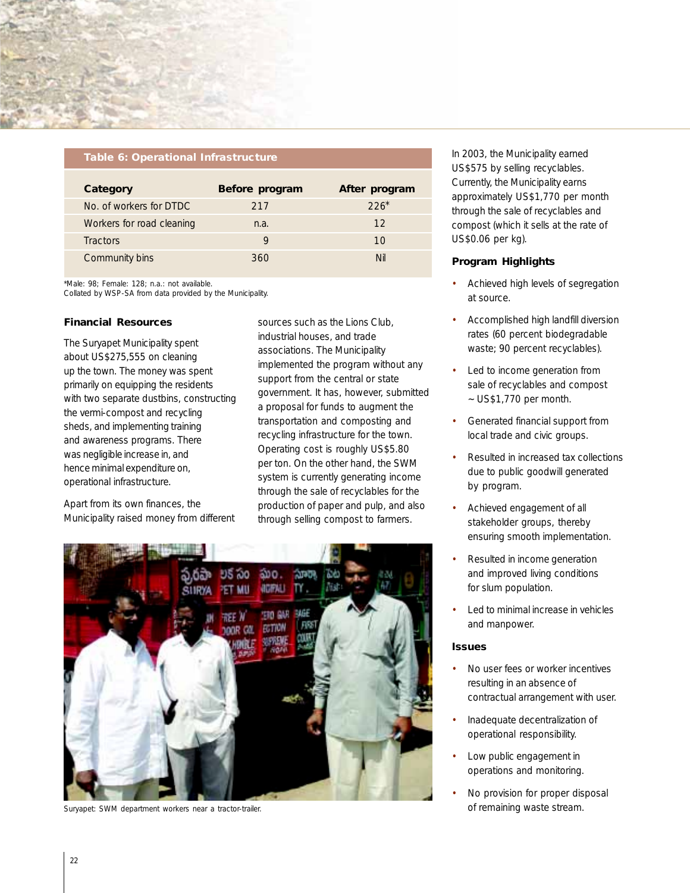#### **Table 6: Operational Infrastructure**

| Category                  | Before program | After program |
|---------------------------|----------------|---------------|
| No. of workers for DTDC   | 217            | $226*$        |
| Workers for road cleaning | n.a.           | 12            |
| <b>Tractors</b>           | Q              | 10            |
| Community bins            | 360            | Nil           |

\*Male: 98; Female: 128; n.a.: not available.

*Collated by WSP-SA from data provided by the Municipality.*

#### **Financial Resources**

The Suryapet Municipality spent about US\$275,555 on cleaning up the town. The money was spent primarily on equipping the residents with two separate dustbins, constructing the vermi-compost and recycling sheds, and implementing training and awareness programs. There was negligible increase in, and hence minimal expenditure on, operational infrastructure.

Apart from its own finances, the Municipality raised money from different sources such as the Lions Club, industrial houses, and trade associations. The Municipality implemented the program without any support from the central or state government. It has, however, submitted a proposal for funds to augment the transportation and composting and recycling infrastructure for the town. Operating cost is roughly US\$5.80 per ton. On the other hand, the SWM system is currently generating income through the sale of recyclables for the production of paper and pulp, and also through selling compost to farmers.



Suryapet: SWM department workers near a tractor-trailer.

In 2003, the Municipality earned US\$575 by selling recyclables. Currently, the Municipality earns approximately US\$1,770 per month through the sale of recyclables and compost (which it sells at the rate of US\$0.06 per kg).

#### **Program Highlights**

- Achieved high levels of segregation at source.
- Accomplished high landfill diversion rates (60 percent biodegradable waste; 90 percent recyclables).
- Led to income generation from sale of recyclables and compost ~ US\$1,770 per month.
- Generated financial support from local trade and civic groups.
- Resulted in increased tax collections due to public goodwill generated by program.
- Achieved engagement of all stakeholder groups, thereby ensuring smooth implementation.
- Resulted in income generation and improved living conditions for slum population.
- Led to minimal increase in vehicles and manpower.

#### **Issues**

- No user fees or worker incentives resulting in an absence of contractual arrangement with user.
- Inadequate decentralization of operational responsibility.
- Low public engagement in operations and monitoring.
- No provision for proper disposal of remaining waste stream.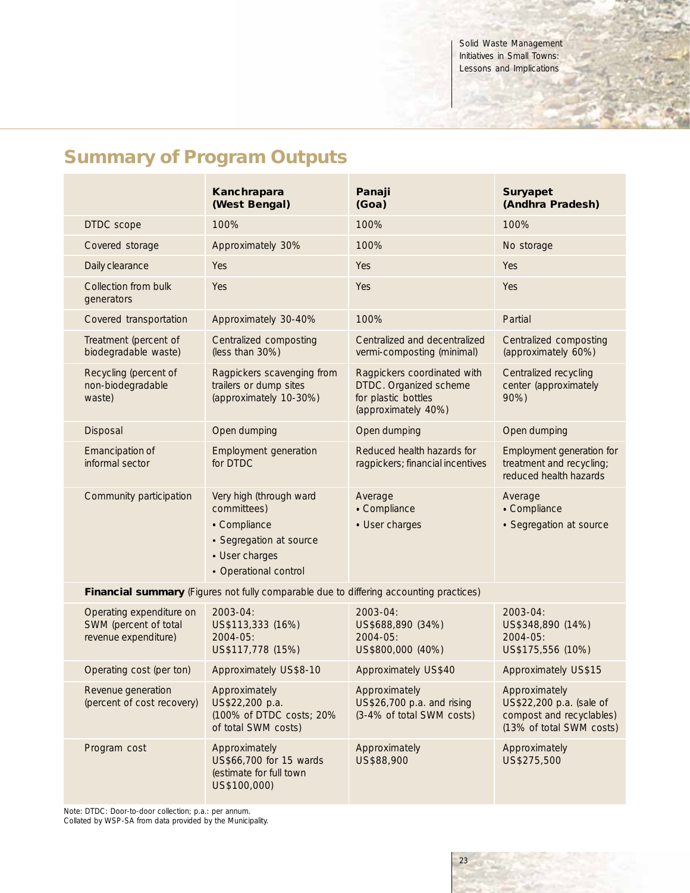# **Summary of Program Outputs**

|                                                                           | Kanchrapara<br>(West Bengal)                                                                                                 | Panaji<br>(Goa)                                                                                     | <b>Suryapet</b><br>(Andhra Pradesh)                                                               |
|---------------------------------------------------------------------------|------------------------------------------------------------------------------------------------------------------------------|-----------------------------------------------------------------------------------------------------|---------------------------------------------------------------------------------------------------|
| DTDC scope                                                                | 100%                                                                                                                         | 100%                                                                                                | 100%                                                                                              |
| Covered storage                                                           | Approximately 30%                                                                                                            | 100%                                                                                                | No storage                                                                                        |
| Daily clearance                                                           | Yes                                                                                                                          | Yes                                                                                                 | <b>Yes</b>                                                                                        |
| Collection from bulk<br>generators                                        | Yes                                                                                                                          | Yes                                                                                                 | <b>Yes</b>                                                                                        |
| Covered transportation                                                    | Approximately 30-40%                                                                                                         | 100%                                                                                                | Partial                                                                                           |
| Treatment (percent of<br>biodegradable waste)                             | Centralized composting<br>(less than 30%)                                                                                    | Centralized and decentralized<br>vermi-composting (minimal)                                         | Centralized composting<br>(approximately 60%)                                                     |
| Recycling (percent of<br>non-biodegradable<br>waste)                      | Ragpickers scavenging from<br>trailers or dump sites<br>(approximately 10-30%)                                               | Ragpickers coordinated with<br>DTDC. Organized scheme<br>for plastic bottles<br>(approximately 40%) | Centralized recycling<br>center (approximately<br>90%)                                            |
| Disposal                                                                  | Open dumping                                                                                                                 | Open dumping                                                                                        | Open dumping                                                                                      |
| Emancipation of<br>informal sector                                        | Employment generation<br>for DTDC                                                                                            | Reduced health hazards for<br>ragpickers; financial incentives                                      | Employment generation for<br>treatment and recycling;<br>reduced health hazards                   |
| Community participation                                                   | Very high (through ward<br>committees)<br>• Compliance<br>• Segregation at source<br>• User charges<br>• Operational control | Average<br>• Compliance<br>• User charges                                                           | Average<br>• Compliance<br>• Segregation at source                                                |
|                                                                           | Financial summary (Figures not fully comparable due to differing accounting practices)                                       |                                                                                                     |                                                                                                   |
| Operating expenditure on<br>SWM (percent of total<br>revenue expenditure) | 2003-04:<br>US\$113,333 (16%)<br>$2004 - 05$ :<br>US\$117,778 (15%)                                                          | 2003-04:<br>US\$688,890 (34%)<br>$2004 - 05$ :<br>US\$800,000 (40%)                                 | 2003-04:<br>US\$348,890 (14%)<br>$2004 - 05$ :<br>US\$175,556 (10%)                               |
| Operating cost (per ton)                                                  | Approximately US\$8-10                                                                                                       | Approximately US\$40                                                                                | Approximately US\$15                                                                              |
| Revenue generation<br>(percent of cost recovery)                          | Approximately<br>US\$22,200 p.a.<br>(100% of DTDC costs; 20%<br>of total SWM costs)                                          | Approximately<br>US\$26,700 p.a. and rising<br>(3-4% of total SWM costs)                            | Approximately<br>US\$22,200 p.a. (sale of<br>compost and recyclables)<br>(13% of total SWM costs) |
| Program cost                                                              | Approximately<br>US\$66,700 for 15 wards<br>(estimate for full town<br>US\$100,000)                                          | Approximately<br>US\$88,900                                                                         | Approximately<br>US\$275,500                                                                      |

*Note:* DTDC: Door-to-door collection; p.a.: per annum.

*Collated by WSP-SA from data provided by the Municipality.*

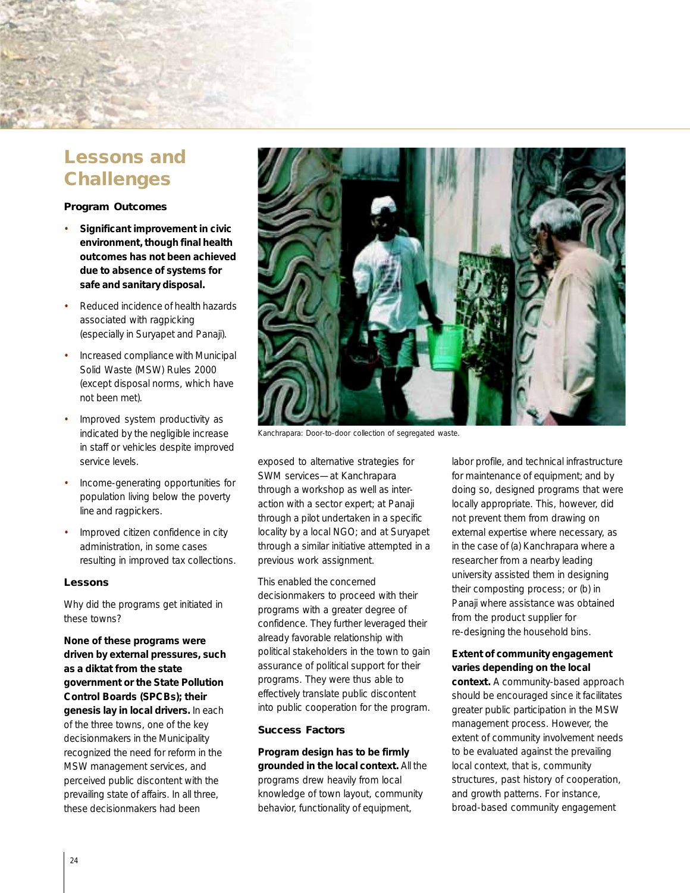# **Lessons and Challenges**

#### **Program Outcomes**

- *Significant improvement in civic environment, though final health outcomes has not been achieved due to absence of systems for safe and sanitary disposal***.**
- Reduced incidence of health hazards associated with ragpicking (especially in Suryapet and Panaji).
- Increased compliance with Municipal Solid Waste (MSW) Rules 2000 (except disposal norms, which have not been met).
- Improved system productivity as indicated by the negligible increase in staff or vehicles despite improved service levels.
- Income-generating opportunities for population living below the poverty line and ragpickers.
- Improved citizen confidence in city administration, in some cases resulting in improved tax collections.

#### **Lessons**

Why did the programs get initiated in these towns?

*None of these programs were driven by external pressures, such as a diktat from the state government or the State Pollution Control Boards (SPCBs); their genesis lay in local drivers.* In each of the three towns, one of the key decisionmakers in the Municipality *recognized the need for reform* in the MSW management services, and *perceived public discontent* with the prevailing state of affairs. In all three, these *decisionmakers had been*



Kanchrapara: Door-to-door collection of segregated waste.

*exposed to alternative strategies for SWM services*—at Kanchrapara through a workshop as well as interaction with a sector expert; at Panaji through a pilot undertaken in a specific locality by a local NGO; and at Suryapet through a similar initiative attempted in a previous work assignment.

This enabled the concerned decisionmakers to proceed with their programs with a greater degree of confidence. They further leveraged their already favorable relationship with political stakeholders in the town to gain *assurance of political support for their programs*. They were thus able to *effectively translate public discontent into public cooperation* for the program.

#### **Success Factors**

*Program design has to be firmly grounded in the local context.* All the programs drew heavily from local knowledge of town layout, community behavior, functionality of equipment,

labor profile, and technical infrastructure for maintenance of equipment; and by doing so, designed programs that were locally appropriate. This, however, did not prevent them from *drawing on external expertise* where necessary, as in the case of (a) Kanchrapara where a researcher from a nearby leading university assisted them in designing their composting process; or (b) in Panaji where assistance was obtained from the product supplier for re-designing the household bins.

#### *Extent of community engagement varies depending on the local*

*context.* A community-based approach should be encouraged since it facilitates greater public participation in the MSW management process. However, the extent of community involvement needs to be evaluated against the prevailing local context, that is, community structures, past history of cooperation, and growth patterns. For instance, broad-based community engagement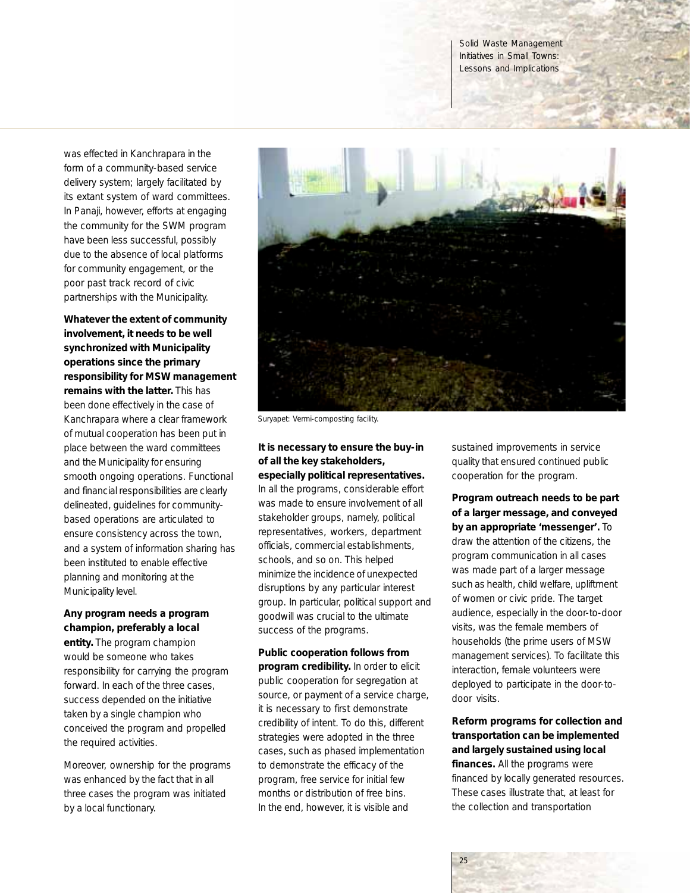was effected in Kanchrapara in the form of a community-based service delivery system; largely facilitated by its extant system of ward committees. In Panaji, however, efforts at engaging the community for the SWM program have been less successful, possibly due to the absence of local platforms for community engagement, or the poor past track record of civic partnerships with the Municipality.

*Whatever the extent of community involvement, it needs to be well synchronized with Municipality operations since the primary responsibility for MSW management remains with the latter.* This has

been done effectively in the case of Kanchrapara where a clear framework of mutual cooperation has been put in place between the ward committees and the Municipality for ensuring smooth ongoing operations. Functional and financial responsibilities are clearly delineated, guidelines for communitybased operations are articulated to ensure consistency across the town, and a system of information sharing has been instituted to enable effective planning and monitoring at the Municipality level.

#### *Any program needs a program champion, preferably a local*

*entity.* The program champion would be someone who takes responsibility for carrying the program forward. In each of the three cases, success depended on the initiative taken by a single champion who conceived the program and propelled the required activities.

Moreover, ownership for the programs was enhanced by the fact that in all three cases the program was initiated by a local functionary.



Suryapet: Vermi-composting facility.

#### *It is necessary to ensure the buy-in of all the key stakeholders, especially political representatives.*

In all the programs, considerable effort was made to ensure involvement of all stakeholder groups, namely, political representatives, workers, department officials, commercial establishments, schools, and so on. This helped minimize the incidence of unexpected disruptions by any particular interest group. In particular, political support and goodwill was crucial to the ultimate success of the programs.

*Public cooperation follows from program credibility.* In order to elicit public cooperation for segregation at source, or payment of a service charge, it is necessary to first demonstrate credibility of intent. To do this, different strategies were adopted in the three cases, such as phased implementation to demonstrate the efficacy of the program, free service for initial few months or distribution of free bins. In the end, however, it is visible and

sustained improvements in service quality that ensured continued public cooperation for the program.

#### *Program outreach needs to be part of a larger message, and conveyed by an appropriate 'messenger'***.** To draw the attention of the citizens, the program communication in all cases was made part of a larger message such as health, child welfare, upliftment of women or civic pride. The *target audience*, especially in the door-to-door visits, was the *female members of households* (the prime users of MSW management services). To facilitate this interaction, female volunteers were deployed to participate in the door-todoor visits.

*Reform programs for collection and transportation can be implemented and largely sustained using local*

*finances.* All the programs were financed by locally generated resources. These cases illustrate that, at least for the collection and transportation

25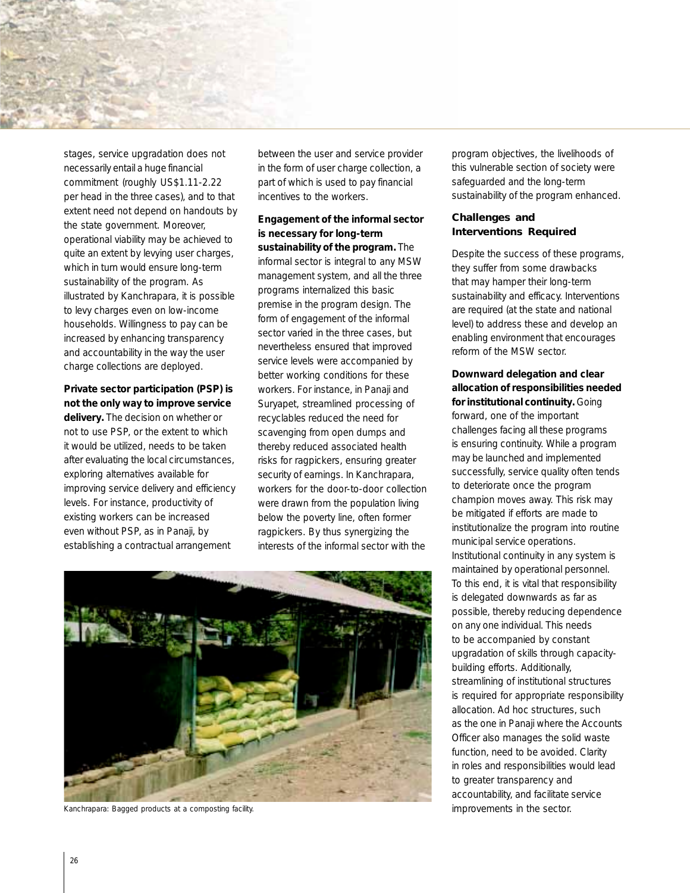stages, service upgradation does not necessarily entail a huge financial commitment (roughly US\$1.11-2.22 per head in the three cases), and to that extent need not depend on handouts by the state government. Moreover, *operational viability* may be achieved to quite an extent by *levying user charges*, which in turn would ensure long-term sustainability of the program. As illustrated by Kanchrapara, it is possible to levy charges even on low-income households. Willingness to pay can be increased by enhancing transparency and accountability in the way the user charge collections are deployed.

#### *Private sector participation (PSP) is not the only way to improve service delivery***.** The decision on whether or not to use PSP, or the extent to which it would be utilized, needs to be taken after evaluating the local circumstances, exploring alternatives available for improving service delivery and efficiency levels. For instance, productivity of existing workers can be increased even without PSP, as in Panaji, by establishing a contractual arrangement

between the user and service provider in the form of user charge collection, a part of which is used to pay financial incentives to the workers.

#### *Engagement of the informal sector is necessary for long-term sustainability of the program***.** The

informal sector is integral to any MSW management system, and all the three programs internalized this basic premise in the program design. The form of engagement of the informal sector varied in the three cases, but nevertheless ensured that improved service levels were accompanied by better working conditions for these workers. For instance, in Panaji and Suryapet, streamlined processing of recyclables reduced the need for scavenging from open dumps and thereby reduced associated health risks for ragpickers, ensuring greater security of earnings. In Kanchrapara, workers for the door-to-door collection were drawn from the population living below the poverty line, often former ragpickers. By thus synergizing the interests of the informal sector with the



Kanchrapara: Bagged products at a composting facility.

program objectives, the livelihoods of this vulnerable section of society were safeguarded and the long-term sustainability of the program enhanced.

#### **Challenges and Interventions Required**

Despite the success of these programs, they suffer from some drawbacks that may hamper their long-term sustainability and efficacy. Interventions are required (at the state and national level) to address these and develop an enabling environment that encourages reform of the MSW sector.

#### *Downward delegation and clear allocation of responsibilities needed for institutional continuity***.** Going

forward, one of the important challenges facing all these programs is ensuring continuity. While a program may be launched and implemented successfully, service quality often tends to deteriorate once the program champion moves away. This risk may be mitigated if efforts are made to institutionalize the program into routine municipal service operations. Institutional continuity in any system is maintained by operational personnel. To this end, it is vital that responsibility is delegated downwards as far as possible, thereby reducing dependence on any one individual. This needs to be accompanied by constant upgradation of skills through capacitybuilding efforts. Additionally, streamlining of institutional structures is required for appropriate responsibility allocation. Ad hoc structures, such as the one in Panaji where the Accounts Officer also manages the solid waste function, need to be avoided. Clarity in roles and responsibilities would lead to greater transparency and accountability, and facilitate service improvements in the sector.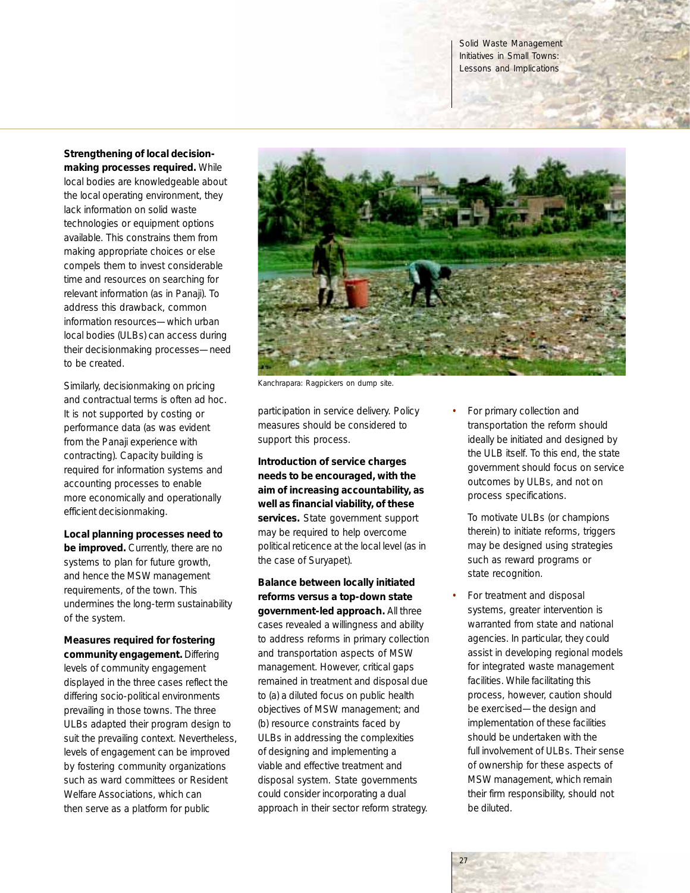#### *Strengthening of local decisionmaking processes required.* While

local bodies are knowledgeable about the local operating environment, they lack information on solid waste technologies or equipment options available. This constrains them from making appropriate choices or else compels them to invest considerable time and resources on searching for relevant information (as in Panaji). To address this drawback, common information resources—which urban local bodies (ULBs) can access during their decisionmaking processes—need to be created.

Similarly, decisionmaking on pricing and contractual terms is often ad hoc. It is not supported by costing or performance data (as was evident from the Panaji experience with contracting). *Capacity building is required for information systems and accounting processes to enable more economically and operationally efficient decisionmaking.*

*Local planning processes need to* be *improved*. Currently, there are no systems to plan for future growth, and hence the MSW management requirements, of the town. This undermines the long-term sustainability of the system.

*Measures required for fostering community engagement***.** Differing levels of community engagement displayed in the three cases reflect the differing socio-political environments prevailing in those towns. The three ULBs adapted their program design to suit the prevailing context. Nevertheless, levels of engagement can be improved by fostering *community organizations* such as ward committees or Resident Welfare Associations, which can then serve as a platform for public



Kanchrapara: Ragpickers on dump site.

participation in service delivery. Policy measures should be considered to support this process.

*Introduction of service charges needs to be encouraged, with the aim of increasing accountability, as well as financial viability, of these services.* State government support may be required to help overcome political reticence at the local level (as in the case of Suryapet).

*Balance between locally initiated reforms versus a top-down state government-led approach***.** All three cases revealed a willingness and ability to address reforms in primary collection and transportation aspects of MSW management. However, critical gaps remained in treatment and disposal due to (a) a diluted focus on public health objectives of MSW management; and (b) resource constraints faced by ULBs in addressing the complexities of designing and implementing a viable and effective treatment and disposal system. State governments could consider incorporating a dual approach in their sector reform strategy.

• *For primary collection and transportation the reform should ideally be initiated and designed by the ULB itself.* To this end, the state government should *focus on service outcomes* by ULBs, and not on process specifications.

To motivate ULBs (or champions therein) to initiate reforms, triggers may be designed using strategies such as reward programs or state recognition.

• *For treatment and disposal systems, greater intervention is warranted from state and national agencies.* In particular, they could assist in developing regional models for integrated waste management facilities. While facilitating this process, however, caution should be exercised—the design and implementation of these facilities should be undertaken with the full involvement of ULBs. Their sense of ownership for these aspects of MSW management, which remain their firm responsibility, should not be diluted.

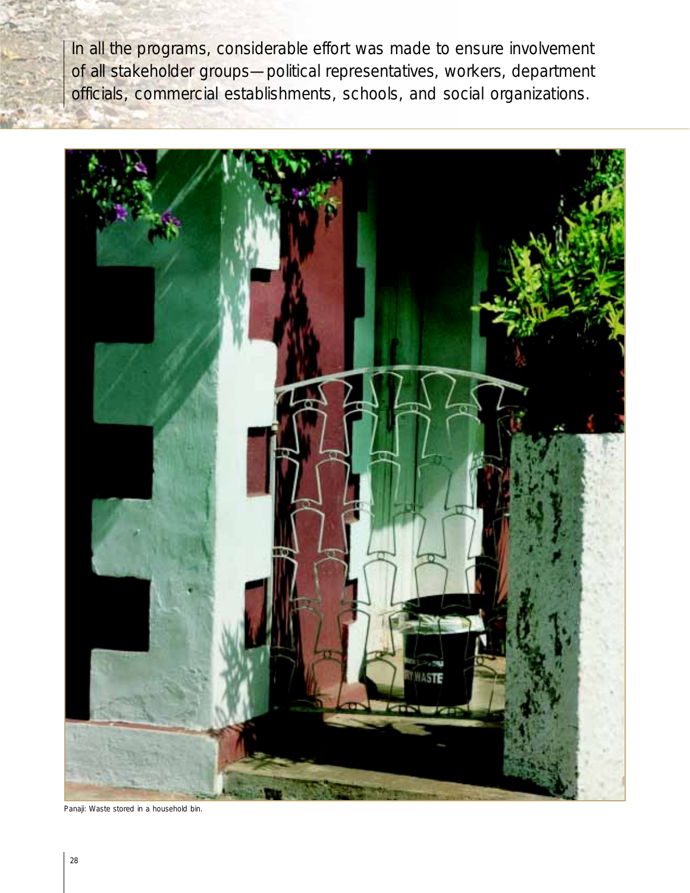In all the programs, considerable effort was made to ensure involvement of all stakeholder groups—political representatives, workers, department officials, commercial establishments, schools, and social organizations.



Panaji: Waste stored in a household bin.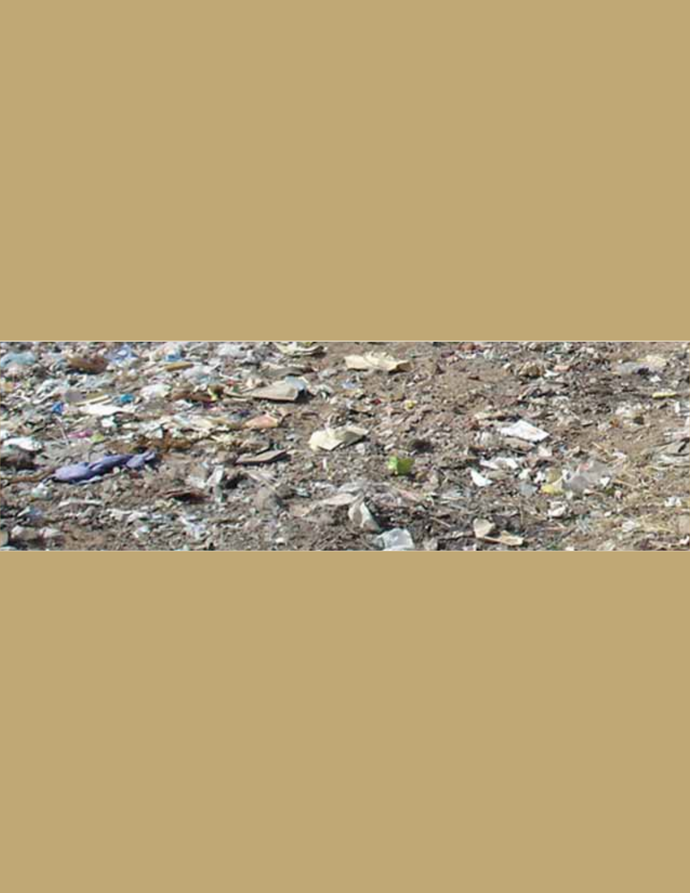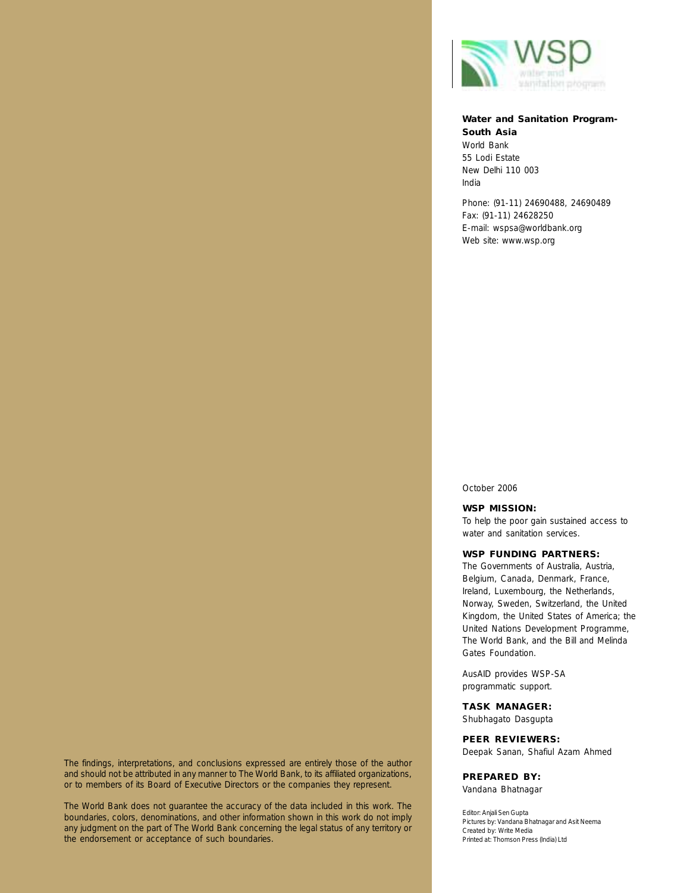

#### **Water and Sanitation Program-South Asia**

World Bank 55 Lodi Estate New Delhi 110 003 India

Phone: (91-11) 24690488, 24690489 Fax: (91-11) 24628250 E-mail: wspsa@worldbank.org Web site: www.wsp.org

October 2006

**WSP MISSION:** To help the poor gain sustained access to

water and sanitation services.

#### **WSP FUNDING PARTNERS:**

The Governments of Australia, Austria, Belgium, Canada, Denmark, France, Ireland, Luxembourg, the Netherlands, Norway, Sweden, Switzerland, the United Kingdom, the United States of America; the United Nations Development Programme, The World Bank, and the Bill and Melinda Gates Foundation.

AusAID provides WSP-SA programmatic support.

**TASK MANAGER:**

Shubhagato Dasgupta

**PEER REVIEWERS:** Deepak Sanan, Shafiul Azam Ahmed

**PREPARED BY:**

Vandana Bhatnagar

Editor: Anjali Sen Gupta Pictures by: Vandana Bhatnagar and Asit Neema Created by: Write Media Printed at: Thomson Press (India) Ltd

The findings, interpretations, and conclusions expressed are entirely those of the author and should not be attributed in any manner to The World Bank, to its affiliated organizations, or to members of its Board of Executive Directors or the companies they represent.

The World Bank does not guarantee the accuracy of the data included in this work. The boundaries, colors, denominations, and other information shown in this work do not imply any judgment on the part of The World Bank concerning the legal status of any territory or the endorsement or acceptance of such boundaries.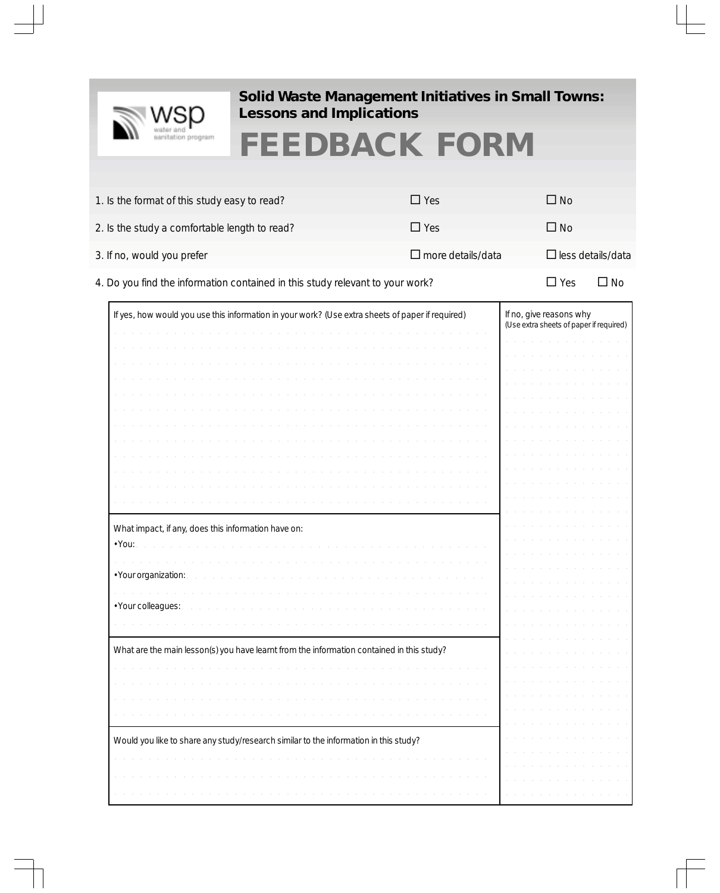

# **FEEDBACK FORM**

| 1. Is the format of this study easy to read?                                                     | $\Box$ Yes               | $\Box$ No                               |                          |
|--------------------------------------------------------------------------------------------------|--------------------------|-----------------------------------------|--------------------------|
| 2. Is the study a comfortable length to read?                                                    | $\Box$ Yes               | $\Box$ No                               |                          |
| 3. If no, would you prefer                                                                       | $\Box$ more details/data |                                         | $\Box$ less details/data |
| 4. Do you find the information contained in this study relevant to your work?                    |                          | $\Box$ Yes                              | $\Box$ No                |
| If yes, how would you use this information in your work? (Use extra sheets of paper if required) |                          | If no, give reasons why                 |                          |
|                                                                                                  |                          | (Use extra sheets of paper if required) |                          |
|                                                                                                  |                          |                                         |                          |
|                                                                                                  |                          |                                         |                          |
|                                                                                                  |                          |                                         |                          |
|                                                                                                  |                          |                                         |                          |
|                                                                                                  |                          |                                         |                          |
|                                                                                                  |                          |                                         |                          |
|                                                                                                  |                          |                                         |                          |
|                                                                                                  |                          |                                         |                          |
|                                                                                                  |                          |                                         |                          |
|                                                                                                  |                          |                                         |                          |
|                                                                                                  |                          |                                         |                          |
| What impact, if any, does this information have on:                                              |                          |                                         |                          |
| $\cdot$ You:                                                                                     |                          |                                         |                          |
|                                                                                                  |                          |                                         |                          |
| · Your organization:<br>$\mathcal{A}^{\mathcal{A}}$ and $\mathcal{A}^{\mathcal{A}}$              |                          |                                         |                          |
|                                                                                                  |                          |                                         |                          |
| · Your colleagues:                                                                               |                          |                                         |                          |
|                                                                                                  |                          |                                         |                          |
|                                                                                                  |                          |                                         |                          |
| What are the main lesson(s) you have learnt from the information contained in this study?        |                          |                                         |                          |
|                                                                                                  |                          |                                         |                          |
|                                                                                                  |                          |                                         |                          |
|                                                                                                  |                          |                                         |                          |
|                                                                                                  |                          |                                         |                          |
|                                                                                                  |                          |                                         |                          |
| Would you like to share any study/research similar to the information in this study?             |                          |                                         |                          |
|                                                                                                  |                          |                                         |                          |
|                                                                                                  |                          |                                         |                          |
|                                                                                                  |                          |                                         |                          |